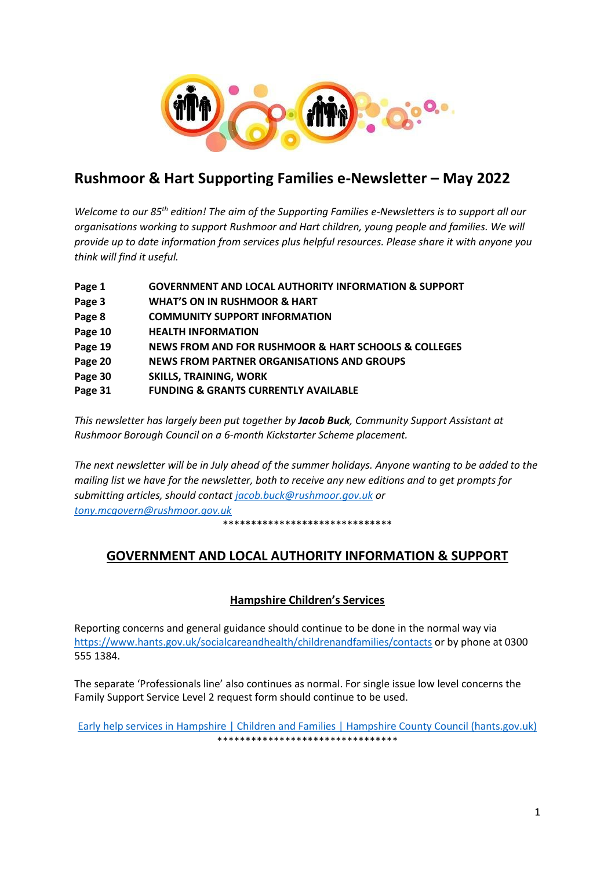

# **Rushmoor & Hart Supporting Families e-Newsletter – May 2022**

*Welcome to our 85th edition! The aim of the Supporting Families e-Newsletters is to support all our organisations working to support Rushmoor and Hart children, young people and families. We will provide up to date information from services plus helpful resources. Please share it with anyone you think will find it useful.* 

| Page 1  | <b>GOVERNMENT AND LOCAL AUTHORITY INFORMATION &amp; SUPPORT</b>     |
|---------|---------------------------------------------------------------------|
| Page 3  | <b>WHAT'S ON IN RUSHMOOR &amp; HART</b>                             |
| Page 8  | <b>COMMUNITY SUPPORT INFORMATION</b>                                |
| Page 10 | <b>HEALTH INFORMATION</b>                                           |
| Page 19 | <b>NEWS FROM AND FOR RUSHMOOR &amp; HART SCHOOLS &amp; COLLEGES</b> |
| Page 20 | <b>NEWS FROM PARTNER ORGANISATIONS AND GROUPS</b>                   |
| Page 30 | <b>SKILLS, TRAINING, WORK</b>                                       |
| Page 31 | <b>FUNDING &amp; GRANTS CURRENTLY AVAILABLE</b>                     |

*This newsletter has largely been put together by Jacob Buck, Community Support Assistant at Rushmoor Borough Council on a 6-month Kickstarter Scheme placement.*

*The next newsletter will be in July ahead of the summer holidays. Anyone wanting to be added to the mailing list we have for the newsletter, both to receive any new editions and to get prompts for submitting articles, should contact [jacob.buck@rushmoor.gov.uk](mailto:jacob.buck@rushmoor.gov.uk) or [tony.mcgovern@rushmoor.gov.uk](mailto:tony.mcgovern@rushmoor.gov.uk)*

\*\*\*\*\*\*\*\*\*\*\*\*\*\*\*\*\*\*\*\*\*\*\*\*\*\*\*\*\*\*

# **GOVERNMENT AND LOCAL AUTHORITY INFORMATION & SUPPORT**

# **Hampshire Children's Services**

Reporting concerns and general guidance should continue to be done in the normal way via <https://www.hants.gov.uk/socialcareandhealth/childrenandfamilies/contacts> or by phone at 0300 555 1384.

The separate 'Professionals line' also continues as normal. For single issue low level concerns the Family Support Service Level 2 request form should continue to be used.

[Early help services in Hampshire | Children and Families | Hampshire County Council \(hants.gov.uk\)](https://www.hants.gov.uk/socialcareandhealth/childrenandfamilies/early-help) \*\*\*\*\*\*\*\*\*\*\*\*\*\*\*\*\*\*\*\*\*\*\*\*\*\*\*\*\*\*\*\*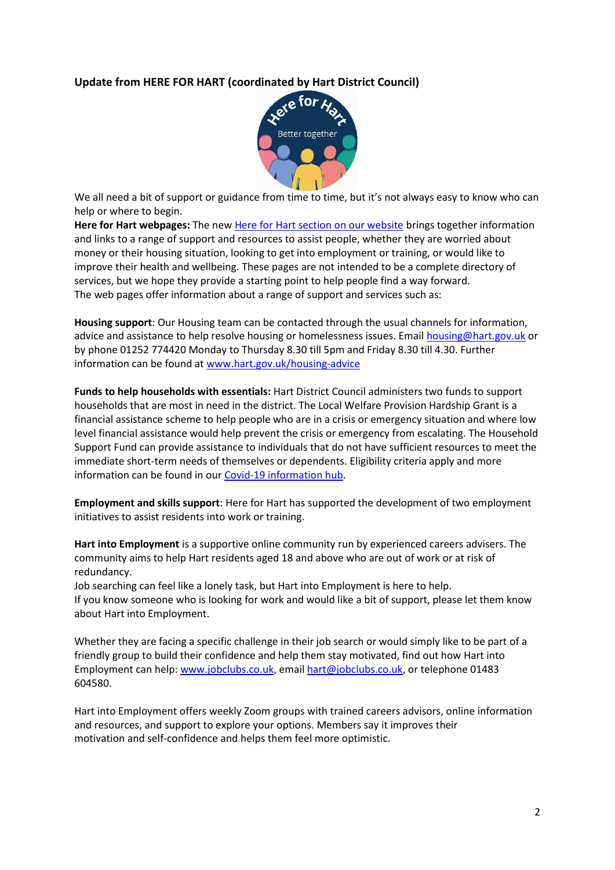# **Update from HERE FOR HART (coordinated by Hart District Council)**



We all need a bit of support or guidance from time to time, but it's not always easy to know who can help or where to begin.

**Here for Hart webpages:** The new [Here for Hart section on our website](http://www.hart.gov.uk/hereforhart) brings together information and links to a range of support and resources to assist people, whether they are worried about money or their housing situation, looking to get into employment or training, or would like to improve their health and wellbeing. These pages are not intended to be a complete directory of services, but we hope they provide a starting point to help people find a way forward. The web pages offer information about a range of support and services such as:

**Housing support**: Our Housing team can be contacted through the usual channels for information, advice and assistance to help resolve housing or homelessness issues. Email [housing@hart.gov.uk](mailto:housing@hart.gov.uk) or by phone 01252 774420 Monday to Thursday 8.30 till 5pm and Friday 8.30 till 4.30. Further information can be found at [www.hart.gov.uk/housing-advice](http://www.hart.gov.uk/housing-advice)

**Funds to help households with essentials:** Hart District Council administers two funds to support households that are most in need in the district. The Local Welfare Provision Hardship Grant is a financial assistance scheme to help people who are in a crisis or emergency situation and where low level financial assistance would help prevent the crisis or emergency from escalating. The Household Support Fund can provide assistance to individuals that do not have sufficient resources to meet the immediate short-term needs of themselves or dependents. Eligibility criteria apply and more information can be found in our [Covid-19 information hub.](https://www.hart.gov.uk/covid-19)

**Employment and skills support**: Here for Hart has supported the development of two employment initiatives to assist residents into work or training.

**Hart into Employment** is a supportive online community run by experienced careers advisers. The community aims to help Hart residents aged 18 and above who are out of work or at risk of redundancy.

Job searching can feel like a lonely task, but Hart into Employment is here to help. If you know someone who is looking for work and would like a bit of support, please let them know about Hart into Employment.

Whether they are facing a specific challenge in their job search or would simply like to be part of a friendly group to build their confidence and help them stay motivated, find out how Hart into Employment can help: [www.jobclubs.co.uk,](https://eur02.safelinks.protection.outlook.com/?url=http%3A%2F%2Fwww.jobclubs.co.uk%2F&data=04%7C01%7Cliz.glenn%40hart.gov.uk%7C35a325b0fd1d45b8538508d9b027843b%7C437487d01c5f47b6bd4ea482ae3b011e%7C0%7C0%7C637734506024168144%7CUnknown%7CTWFpbGZsb3d8eyJWIjoiMC4wLjAwMDAiLCJQIjoiV2luMzIiLCJBTiI6Ik1haWwiLCJXVCI6Mn0%3D%7C3000&sdata=FwvnFJH4CkzqShZFH1u0MYenlmbJ6OUbF7BJHHp0QPw%3D&reserved=0) email [hart@jobclubs.co.uk,](mailto:hart@jobclubs.co.uk) or telephone 01483 604580.

Hart into Employment offers weekly Zoom groups with trained careers advisors, online information and resources, and support to explore your options. Members say it improves their motivation and self-confidence and helps them feel more optimistic.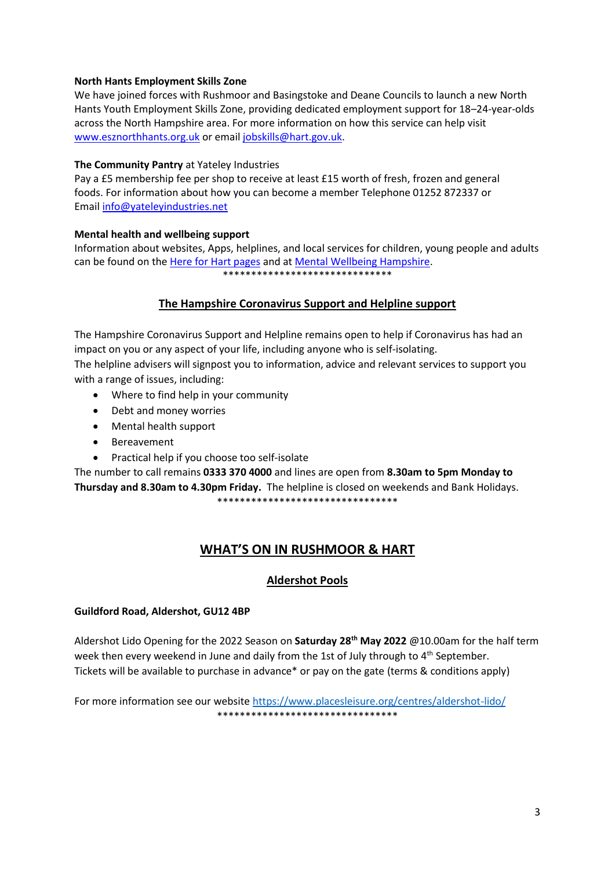### **North Hants Employment Skills Zone**

We have joined forces with Rushmoor and Basingstoke and Deane Councils to launch a new North Hants Youth Employment Skills Zone, providing dedicated employment support for 18–24-year-olds across the North Hampshire area. For more information on how this service can help visit [www.esznorthhants.org.uk](https://eur02.safelinks.protection.outlook.com/?url=http%3A%2F%2Fwww.esznorthhants.org.uk%2F&data=04%7C01%7CHelen.Charles%40Hart.gov.uk%7C63807447b8484aea76b308d9e00491cd%7C437487d01c5f47b6bd4ea482ae3b011e%7C0%7C0%7C637787132486177647%7CUnknown%7CTWFpbGZsb3d8eyJWIjoiMC4wLjAwMDAiLCJQIjoiV2luMzIiLCJBTiI6Ik1haWwiLCJXVCI6Mn0%3D%7C3000&sdata=KG9VAXnW4YyZzw4dm15ITBfWbh5EQr0VpHnKDToHhfo%3D&reserved=0) or email [jobskills@hart.gov.uk.](mailto:jobskills@hart.gov.uk)

#### **The Community Pantry** at Yateley Industries

Pay a £5 membership fee per shop to receive at least £15 worth of fresh, frozen and general foods. For information about how you can become a member Telephone 01252 872337 or Email [info@yateleyindustries.net](mailto:info@yateleyindustries.net) 

#### **Mental health and wellbeing support**

Information about websites, Apps, helplines, and local services for children, young people and adults can be found on the [Here for Hart pages](http://www.hart.gov.uk/hereforhart) and at [Mental Wellbeing Hampshire.](https://www.hants.gov.uk/socialcareandhealth/publichealth/mentalwellbeinghampshire/moneyanddebt) \*\*\*\*\*\*\*\*\*\*\*\*\*\*\*\*\*\*\*\*\*\*\*\*\*\*\*\*\*\*

# **The Hampshire Coronavirus Support and Helpline support**

The Hampshire Coronavirus Support and Helpline remains open to help if Coronavirus has had an impact on you or any aspect of your life, including anyone who is self-isolating.

The helpline advisers will signpost you to information, advice and relevant services to support you with a range of issues, including:

- Where to find help in your community
- Debt and money worries
- Mental health support
- Bereavement
- Practical help if you choose too self-isolate

The number to call remains **0333 370 4000** and lines are open from **8.30am to 5pm Monday to Thursday and 8.30am to 4.30pm Friday.** The helpline is closed on weekends and Bank Holidays. \*\*\*\*\*\*\*\*\*\*\*\*\*\*\*\*\*\*\*\*\*\*\*\*\*\*\*\*\*\*\*\*

# **WHAT'S ON IN RUSHMOOR & HART**

# **Aldershot Pools**

# **Guildford Road, Aldershot, GU12 4BP**

Aldershot Lido Opening for the 2022 Season on **Saturday 28th May 2022** @10.00am for the half term week then every weekend in June and daily from the 1st of July through to 4<sup>th</sup> September. Tickets will be available to purchase in advance\* or pay on the gate (terms & conditions apply)

For more information see our website <https://www.placesleisure.org/centres/aldershot-lido/> \*\*\*\*\*\*\*\*\*\*\*\*\*\*\*\*\*\*\*\*\*\*\*\*\*\*\*\*\*\*\*\*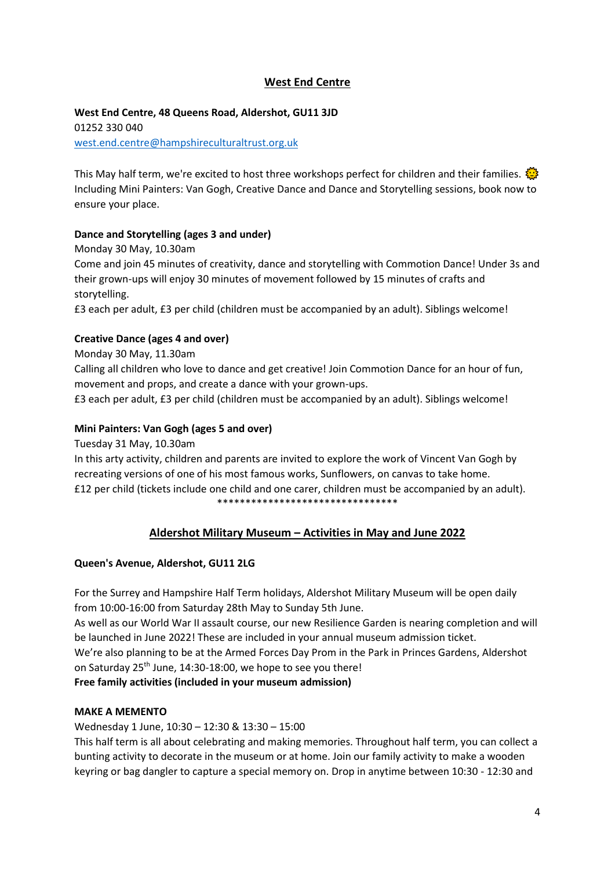# **West End Centre**

# **West End Centre, 48 Queens Road, Aldershot, GU11 3JD**

01252 330 040 [west.end.centre@hampshireculturaltrust.org.uk](mailto:west.end.centre@hampshireculturaltrust.org.uk)

This May half term, we're excited to host three workshops perfect for children and their families. Including Mini Painters: Van Gogh, Creative Dance and Dance and Storytelling sessions, book now to ensure your place.

# **Dance and Storytelling (ages 3 and under)**

Monday 30 May, 10.30am

Come and join 45 minutes of creativity, dance and storytelling with Commotion Dance! Under 3s and their grown-ups will enjoy 30 minutes of movement followed by 15 minutes of crafts and storytelling.

£3 each per adult, £3 per child (children must be accompanied by an adult). Siblings welcome!

# **Creative Dance (ages 4 and over)**

Monday 30 May, 11.30am

Calling all children who love to dance and get creative! Join Commotion Dance for an hour of fun, movement and props, and create a dance with your grown-ups.

£3 each per adult, £3 per child (children must be accompanied by an adult). Siblings welcome!

# **Mini Painters: Van Gogh (ages 5 and over)**

Tuesday 31 May, 10.30am

In this arty activity, children and parents are invited to explore the work of Vincent Van Gogh by recreating versions of one of his most famous works, Sunflowers, on canvas to take home. £12 per child (tickets include one child and one carer, children must be accompanied by an adult). \*\*\*\*\*\*\*\*\*\*\*\*\*\*\*\*\*\*\*\*\*\*\*\*\*\*\*\*\*\*\*\*

# **Aldershot Military Museum – Activities in May and June 2022**

# **Queen's Avenue, Aldershot, GU11 2LG**

For the Surrey and Hampshire Half Term holidays, Aldershot Military Museum will be open daily from 10:00-16:00 from Saturday 28th May to Sunday 5th June.

As well as our World War II assault course, our new Resilience Garden is nearing completion and will be launched in June 2022! These are included in your annual museum admission ticket. We're also planning to be at the Armed Forces Day Prom in the Park in Princes Gardens, Aldershot on Saturday 25<sup>th</sup> June, 14:30-18:00, we hope to see you there!

**Free family activities (included in your museum admission)**

# **MAKE A MEMENTO**

Wednesday 1 June, 10:30 – 12:30 & 13:30 – 15:00

This half term is all about celebrating and making memories. Throughout half term, you can collect a bunting activity to decorate in the museum or at home. Join our family activity to make a wooden keyring or bag dangler to capture a special memory on. Drop in anytime between 10:30 - 12:30 and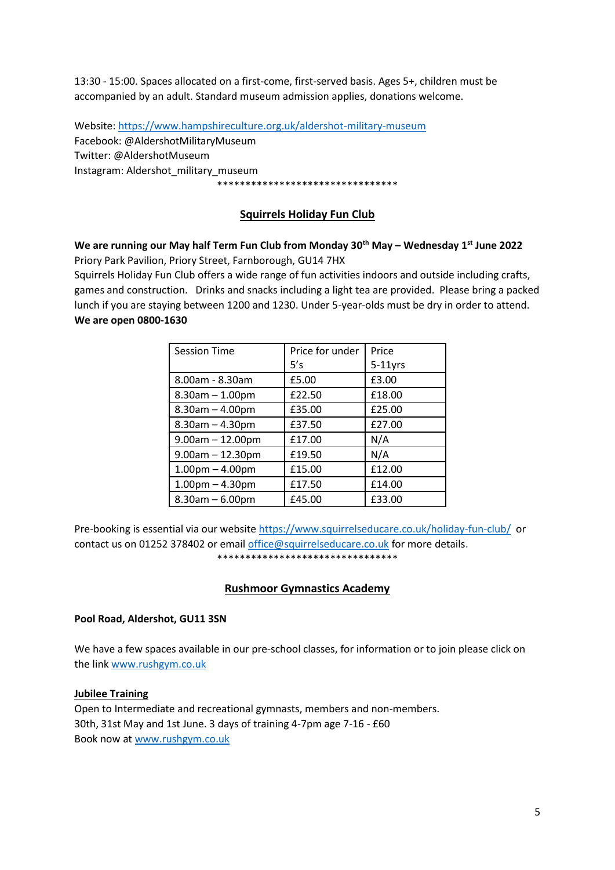13:30 - 15:00. Spaces allocated on a first-come, first-served basis. Ages 5+, children must be accompanied by an adult. Standard museum admission applies, donations welcome.

Website[: https://www.hampshireculture.org.uk/aldershot-military-museum](https://www.hampshireculture.org.uk/aldershot-military-museum) Facebook: @AldershotMilitaryMuseum Twitter: @AldershotMuseum Instagram: Aldershot\_military\_museum \*\*\*\*\*\*\*\*\*\*\*\*\*\*\*\*\*\*\*\*\*\*\*\*\*\*\*\*\*\*\*\*

# **Squirrels Holiday Fun Club**

# **We are running our May half Term Fun Club from Monday 30th May – Wednesday 1st June 2022**

Priory Park Pavilion, Priory Street, Farnborough, GU14 7HX

Squirrels Holiday Fun Club offers a wide range of fun activities indoors and outside including crafts, games and construction. Drinks and snacks including a light tea are provided. Please bring a packed lunch if you are staying between 1200 and 1230. Under 5-year-olds must be dry in order to attend. **We are open 0800-1630**

| <b>Session Time</b>   | Price for under | Price      |
|-----------------------|-----------------|------------|
|                       | 5's             | $5-11$ yrs |
| 8.00am - 8.30am       | £5.00           | £3.00      |
| $8.30$ am $- 1.00$ pm | £22.50          | £18.00     |
| $8.30$ am $- 4.00$ pm | £35.00          | £25.00     |
| $8.30$ am $- 4.30$ pm | £37.50          | £27.00     |
| $9.00am - 12.00pm$    | £17.00          | N/A        |
| $9.00am - 12.30pm$    | £19.50          | N/A        |
| $1.00$ pm $- 4.00$ pm | £15.00          | £12.00     |
| $1.00$ pm $- 4.30$ pm | £17.50          | £14.00     |
| $8.30$ am $- 6.00$ pm | £45.00          | £33.00     |

Pre-booking is essential via our websit[e https://www.squirrelseducare.co.uk/holiday-fun-club/](https://www.squirrelseducare.co.uk/holiday-fun-club/) or contact us on 01252 378402 or email [office@squirrelseducare.co.uk](mailto:office@squirrelseducare.co.uk) for more details. \*\*\*\*\*\*\*\*\*\*\*\*\*\*\*\*\*\*\*\*\*\*\*\*\*\*\*\*\*\*\*\*

#### **Rushmoor Gymnastics Academy**

#### **Pool Road, Aldershot, GU11 3SN**

We have a few spaces available in our pre-school classes, for information or to join please click on the lin[k www.rushgym.co.uk](http://www.rushgym.co.uk/)

#### **Jubilee Training**

Open to Intermediate and recreational gymnasts, members and non-members. 30th, 31st May and 1st June. 3 days of training 4-7pm age 7-16 - £60 Book now at www.rushgym.co.uk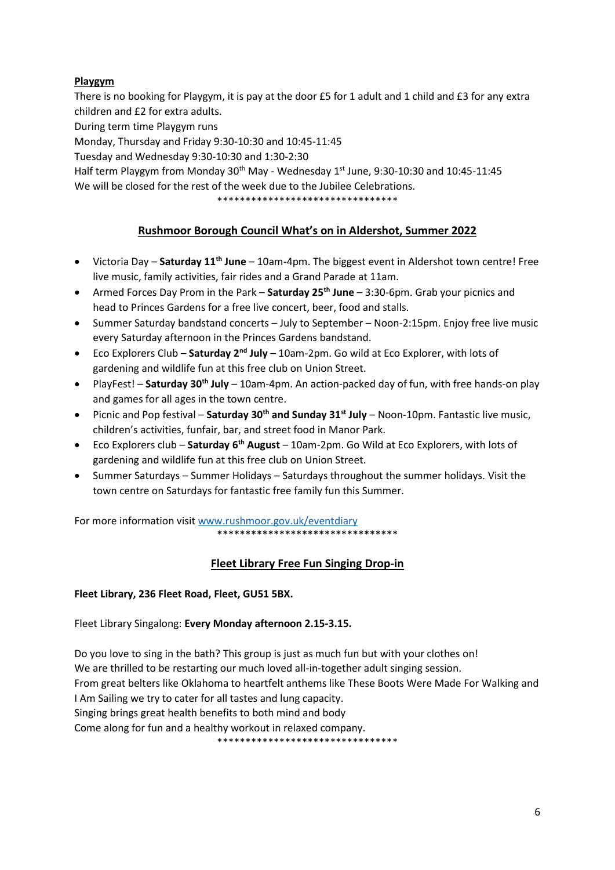# **Playgym**

There is no booking for Playgym, it is pay at the door £5 for 1 adult and 1 child and £3 for any extra children and £2 for extra adults.

During term time Playgym runs

Monday, Thursday and Friday 9:30-10:30 and 10:45-11:45

Tuesday and Wednesday 9:30-10:30 and 1:30-2:30

Half term Playgym from Monday 30<sup>th</sup> May - Wednesday  $1^{st}$  June, 9:30-10:30 and 10:45-11:45 We will be closed for the rest of the week due to the Jubilee Celebrations.

\*\*\*\*\*\*\*\*\*\*\*\*\*\*\*\*\*\*\*\*\*\*\*\*\*\*\*\*\*\*\*\*

# **Rushmoor Borough Council What's on in Aldershot, Summer 2022**

- Victoria Day **Saturday 11th June** 10am-4pm. The biggest event in Aldershot town centre! Free live music, family activities, fair rides and a Grand Parade at 11am.
- Armed Forces Day Prom in the Park **Saturday 25th June** 3:30-6pm. Grab your picnics and head to Princes Gardens for a free live concert, beer, food and stalls.
- Summer Saturday bandstand concerts July to September Noon-2:15pm. Enjoy free live music every Saturday afternoon in the Princes Gardens bandstand.
- Eco Explorers Club **Saturday 2nd July** 10am-2pm. Go wild at Eco Explorer, with lots of gardening and wildlife fun at this free club on Union Street.
- PlayFest! **Saturday 30th July** 10am-4pm. An action-packed day of fun, with free hands-on play and games for all ages in the town centre.
- Picnic and Pop festival **Saturday 30th and Sunday 31st July** Noon-10pm. Fantastic live music, children's activities, funfair, bar, and street food in Manor Park.
- Eco Explorers club **Saturday 6th August** 10am-2pm. Go Wild at Eco Explorers, with lots of gardening and wildlife fun at this free club on Union Street.
- Summer Saturdays Summer Holidays Saturdays throughout the summer holidays. Visit the town centre on Saturdays for fantastic free family fun this Summer.

For more information visi[t www.rushmoor.gov.uk/eventdiary](http://www.rushmoor.gov.uk/eventdiary) \*\*\*\*\*\*\*\*\*\*\*\*\*\*\*\*\*\*\*\*\*\*\*\*\*\*\*\*\*\*\*\*

# **Fleet Library Free Fun Singing Drop-in**

# **Fleet Library, 236 Fleet Road, Fleet, GU51 5BX.**

Fleet Library Singalong: **Every Monday afternoon 2.15-3.15.**

Do you love to sing in the bath? This group is just as much fun but with your clothes on! We are thrilled to be restarting our much loved all-in-together adult singing session. From great belters like Oklahoma to heartfelt anthems like These Boots Were Made For Walking and I Am Sailing we try to cater for all tastes and lung capacity. Singing brings great health benefits to both mind and body Come along for fun and a healthy workout in relaxed company.

\*\*\*\*\*\*\*\*\*\*\*\*\*\*\*\*\*\*\*\*\*\*\*\*\*\*\*\*\*\*\*\*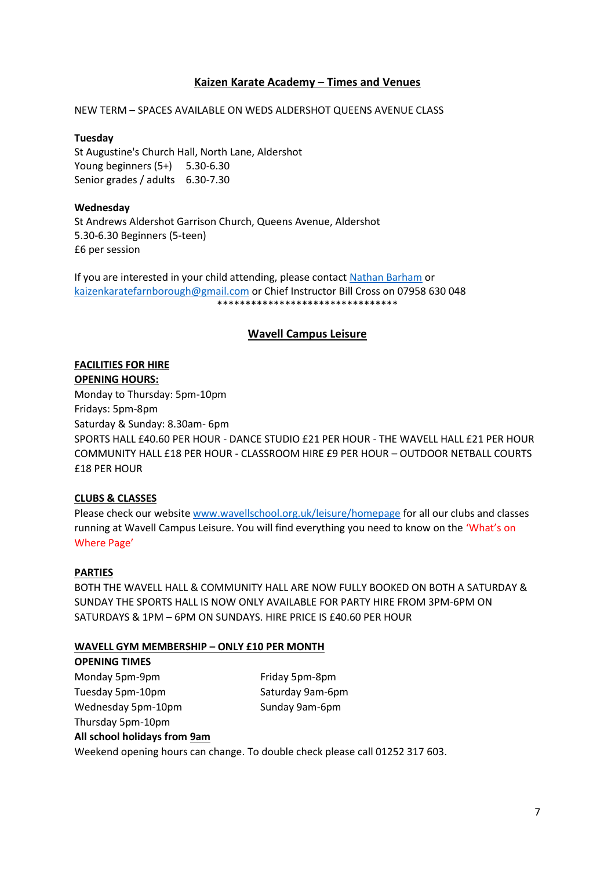# **Kaizen Karate Academy – Times and Venues**

NEW TERM – SPACES AVAILABLE ON WEDS ALDERSHOT QUEENS AVENUE CLASS

#### **Tuesday**

St Augustine's Church Hall, North Lane, Aldershot Young beginners (5+) 5.30-6.30 Senior grades / adults 6.30-7.30

#### **Wednesday**

St Andrews Aldershot Garrison Church, Queens Avenue, Aldershot 5.30-6.30 Beginners (5-teen) £6 per session

If you are interested in your child attending, please contact [Nathan Barham](https://www.facebook.com/groups/141697899265397/user/630420322/?__cft__%5b0%5d=AZVvgmsnhNFM084ngfmoKc5l6_1c35QcjgOg5Xsp1hQLuPNIPuJI8A88ABRncZZQM-w4zPx3rEfvAOnZccf6EP5v6RtXWatYL3Bye8C9r57G1Lju7aP-xs5lzkQRa0LCRyk&__tn__=-%5dK-R) or [kaizenkaratefarnborough@gmail.com](mailto:kaizenkaratefarnborough@gmail.com) or Chief Instructor Bill Cross on 07958 630 048 \*\*\*\*\*\*\*\*\*\*\*\*\*\*\*\*\*\*\*\*\*\*\*\*\*\*\*\*\*\*\*\*

#### **Wavell Campus Leisure**

#### **FACILITIES FOR HIRE**

**OPENING HOURS:** Monday to Thursday: 5pm-10pm Fridays: 5pm-8pm Saturday & Sunday: 8.30am- 6pm SPORTS HALL £40.60 PER HOUR - DANCE STUDIO £21 PER HOUR - THE WAVELL HALL £21 PER HOUR COMMUNITY HALL £18 PER HOUR - CLASSROOM HIRE £9 PER HOUR – OUTDOOR NETBALL COURTS £18 PER HOUR

#### **CLUBS & CLASSES**

Please check our websit[e www.wavellschool.org.uk/leisure/homepage](http://www.wavellschool.org.uk/leisure/homepage) for all our clubs and classes running at Wavell Campus Leisure. You will find everything you need to know on the 'What's on Where Page'

#### **PARTIES**

BOTH THE WAVELL HALL & COMMUNITY HALL ARE NOW FULLY BOOKED ON BOTH A SATURDAY & SUNDAY THE SPORTS HALL IS NOW ONLY AVAILABLE FOR PARTY HIRE FROM 3PM-6PM ON SATURDAYS & 1PM – 6PM ON SUNDAYS. HIRE PRICE IS £40.60 PER HOUR

#### **WAVELL GYM MEMBERSHIP – ONLY £10 PER MONTH**

| <b>OPENING TIMES</b>                                                         |                  |  |  |
|------------------------------------------------------------------------------|------------------|--|--|
| Monday 5pm-9pm                                                               | Friday 5pm-8pm   |  |  |
| Tuesday 5pm-10pm                                                             | Saturday 9am-6pm |  |  |
| Wednesday 5pm-10pm                                                           | Sunday 9am-6pm   |  |  |
| Thursday 5pm-10pm                                                            |                  |  |  |
| All school holidays from 9am                                                 |                  |  |  |
| Weekend opening hours can change. To double check please call 01252 317 603. |                  |  |  |
|                                                                              |                  |  |  |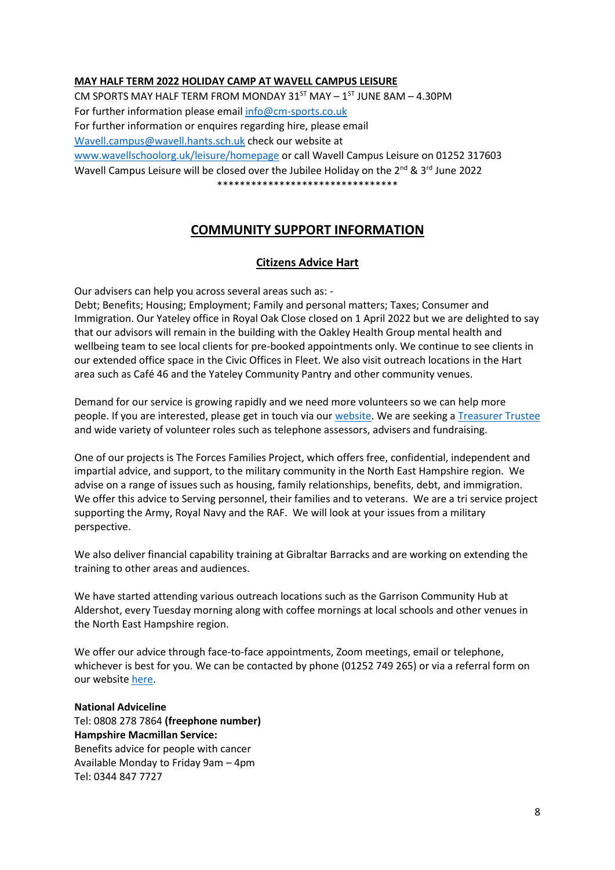#### **MAY HALF TERM 2022 HOLIDAY CAMP AT WAVELL CAMPUS LEISURE**

CM SPORTS MAY HALF TERM FROM MONDAY  $31^{57}$  MAY -  $1^{57}$  JUNE 8AM - 4.30PM For further information please emai[l info@cm-sports.co.uk](mailto:info@cm-sports.co.uk) For further information or enquires regarding hire, please email [Wavell.campus@wavell.hants.sch.uk](mailto:Wavell.campus@wavell.hants.sch.uk) check our website at [www.wavellschoolorg.uk/leisure/homepage](http://www.wavellschoolorg.uk/leisure/homepage) or call Wavell Campus Leisure on 01252 317603 Wavell Campus Leisure will be closed over the Jubilee Holidav on the 2<sup>nd</sup> & 3<sup>rd</sup> June 2022 \*\*\*\*\*\*\*\*\*\*\*\*\*\*\*\*\*\*\*\*\*\*\*\*\*\*\*\*\*\*\*\*

# **COMMUNITY SUPPORT INFORMATION**

#### **Citizens Advice Hart**

Our advisers can help you across several areas such as: -

Debt; Benefits; Housing; Employment; Family and personal matters; Taxes; Consumer and Immigration. Our Yateley office in Royal Oak Close closed on 1 April 2022 but we are delighted to say that our advisors will remain in the building with the Oakley Health Group mental health and wellbeing team to see local clients for pre-booked appointments only. We continue to see clients in our extended office space in the Civic Offices in Fleet. We also visit outreach locations in the Hart area such as Café 46 and the Yateley Community Pantry and other community venues.

Demand for our service is growing rapidly and we need more volunteers so we can help more people. If you are interested, please get in touch via our [website.](https://citizensadvicehart.org.uk/get-involved/volunteering/) We are seeking [a Treasurer Trustee](https://citizensadvicehart.org.uk/treasurer-trustee-role/) and wide variety of volunteer roles such as telephone assessors, advisers and fundraising.

One of our projects is The Forces Families Project, which offers free, confidential, independent and impartial advice, and support, to the military community in the North East Hampshire region. We advise on a range of issues such as housing, family relationships, benefits, debt, and immigration. We offer this advice to Serving personnel, their families and to veterans. We are a tri service project supporting the Army, Royal Navy and the RAF. We will look at your issues from a military perspective.

We also deliver financial capability training at Gibraltar Barracks and are working on extending the training to other areas and audiences.

We have started attending various outreach locations such as the Garrison Community Hub at Aldershot, every Tuesday morning along with coffee mornings at local schools and other venues in the North East Hampshire region.

We offer our advice through face-to-face appointments, Zoom meetings, email or telephone, whichever is best for you. We can be contacted by phone (01252 749 265) or via a referral form on our websit[e here.](https://citizensadvicehart.org.uk/projects/the-forces-families-project/)

**National Adviceline** Tel: 0808 278 7864 **(freephone number) Hampshire Macmillan Service:**  Benefits advice for people with cancer Available Monday to Friday 9am – 4pm Tel: 0344 847 7727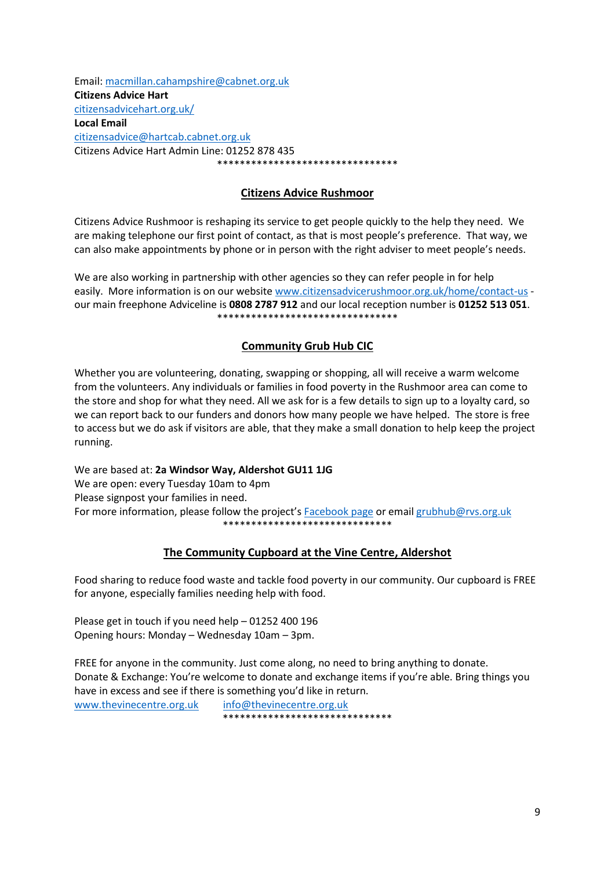Email: [macmillan.cahampshire@cabnet.org.uk](mailto:macmillan.cahampshire@cabnet.org.uk) **Citizens Advice Hart** [citizensadvicehart.org.uk/](https://citizensadvicehart.org.uk/) **Local Email** [citizensadvice@hartcab.cabnet.org.uk](mailto:citizensadvice@hartcab.cabnet.org.uk) Citizens Advice Hart Admin Line: 01252 878 435 \*\*\*\*\*\*\*\*\*\*\*\*\*\*\*\*\*\*\*\*\*\*\*\*\*\*\*\*\*\*\*\*

#### **Citizens Advice Rushmoor**

Citizens Advice Rushmoor is reshaping its service to get people quickly to the help they need. We are making telephone our first point of contact, as that is most people's preference. That way, we can also make appointments by phone or in person with the right adviser to meet people's needs.

We are also working in partnership with other agencies so they can refer people in for help easily. More information is on our website [www.citizensadvicerushmoor.org.uk/home/contact-us](http://www.citizensadvicerushmoor.org.uk/home/contact-us) our main freephone Adviceline is **0808 2787 912** and our local reception number is **01252 513 051**. \*\*\*\*\*\*\*\*\*\*\*\*\*\*\*\*\*\*\*\*\*\*\*\*\*\*\*\*\*\*\*\*

#### **Community Grub Hub CIC**

Whether you are volunteering, donating, swapping or shopping, all will receive a warm welcome from the volunteers. Any individuals or families in food poverty in the Rushmoor area can come to the store and shop for what they need. All we ask for is a few details to sign up to a loyalty card, so we can report back to our funders and donors how many people we have helped. The store is free to access but we do ask if visitors are able, that they make a small donation to help keep the project running.

We are based at: **2a Windsor Way, Aldershot GU11 1JG** We are open: every Tuesday 10am to 4pm Please signpost your families in need. For more information, please follow the project's [Facebook page](https://www.facebook.com/CommunityGrubHub) or email [grubhub@rvs.org.uk](mailto:grubhub@rvs.org.uk) \*\*\*\*\*\*\*\*\*\*\*\*\*\*\*\*\*\*\*\*\*\*\*\*\*\*\*\*\*\*

# **The Community Cupboard at the Vine Centre, Aldershot**

Food sharing to reduce food waste and tackle food poverty in our community. Our cupboard is FREE for anyone, especially families needing help with food.

Please get in touch if you need help – 01252 400 196 Opening hours: Monday – Wednesday 10am – 3pm.

FREE for anyone in the community. Just come along, no need to bring anything to donate. Donate & Exchange: You're welcome to donate and exchange items if you're able. Bring things you have in excess and see if there is something you'd like in return.

[www.thevinecentre.org.uk](http://www.thevinecentre.org.uk/) [info@thevinecentre.org.uk](mailto:info@thevinecentre.org.uk) \*\*\*\*\*\*\*\*\*\*\*\*\*\*\*\*\*\*\*\*\*\*\*\*\*\*\*\*\*\*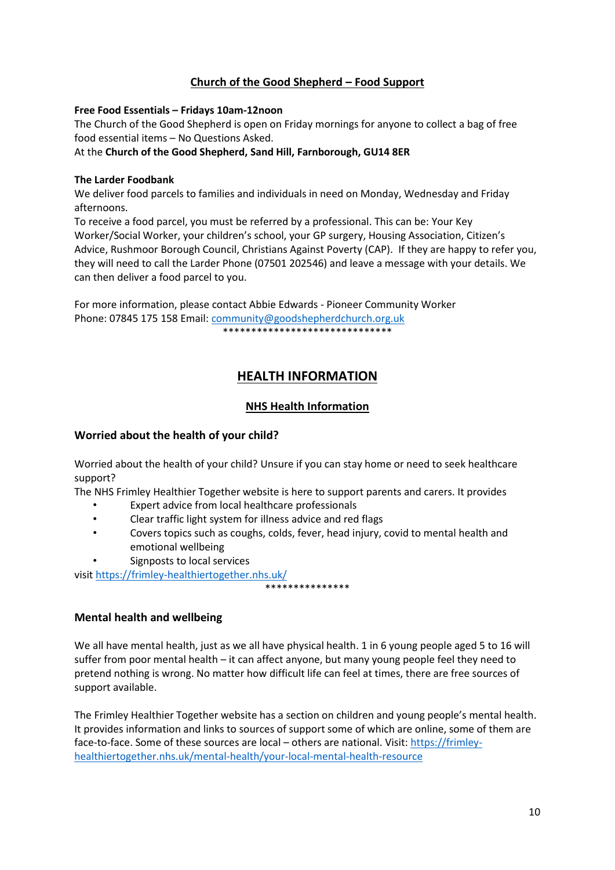# **Church of the Good Shepherd – Food Support**

#### **Free Food Essentials – Fridays 10am-12noon**

The Church of the Good Shepherd is open on Friday mornings for anyone to collect a bag of free food essential items – No Questions Asked.

At the **Church of the Good Shepherd, Sand Hill, Farnborough, GU14 8ER**

#### **The Larder Foodbank**

We deliver food parcels to families and individuals in need on Monday, Wednesday and Friday afternoons.

To receive a food parcel, you must be referred by a professional. This can be: Your Key Worker/Social Worker, your children's school, your GP surgery, Housing Association, Citizen's Advice, Rushmoor Borough Council, Christians Against Poverty (CAP). If they are happy to refer you, they will need to call the Larder Phone (07501 202546) and leave a message with your details. We can then deliver a food parcel to you.

For more information, please contact Abbie Edwards - Pioneer Community Worker Phone: 07845 175 158 Email[: community@goodshepherdchurch.org.uk](mailto:community@goodshepherdchurch.org.uk) \*\*\*\*\*\*\*\*\*\*\*\*\*\*\*\*\*\*\*\*\*\*\*\*\*\*\*\*\*\*\*\*\*\*\*\*

# **HEALTH INFORMATION**

# **NHS Health Information**

# **Worried about the health of your child?**

Worried about the health of your child? Unsure if you can stay home or need to seek healthcare support?

The NHS Frimley Healthier Together website is here to support parents and carers. It provides

- Expert advice from local healthcare professionals
- Clear traffic light system for illness advice and red flags
- Covers topics such as coughs, colds, fever, head injury, covid to mental health and emotional wellbeing

\*\*\*\*\*\*\*\*\*\*\*\*\*\*

Signposts to local services

visi[t https://frimley-healthiertogether.nhs.uk/](https://frimley-healthiertogether.nhs.uk/)

# **Mental health and wellbeing**

We all have mental health, just as we all have physical health. 1 in 6 young people aged 5 to 16 will suffer from poor mental health – it can affect anyone, but many young people feel they need to pretend nothing is wrong. No matter how difficult life can feel at times, there are free sources of support available.

The Frimley Healthier Together website has a section on children and young people's mental health. It provides information and links to sources of support some of which are online, some of them are face-to-face. Some of these sources are local – others are national. Visit[: https://frimley](https://frimley-healthiertogether.nhs.uk/mental-health/your-local-mental-health-resource)[healthiertogether.nhs.uk/mental-health/your-local-mental-health-resource](https://frimley-healthiertogether.nhs.uk/mental-health/your-local-mental-health-resource)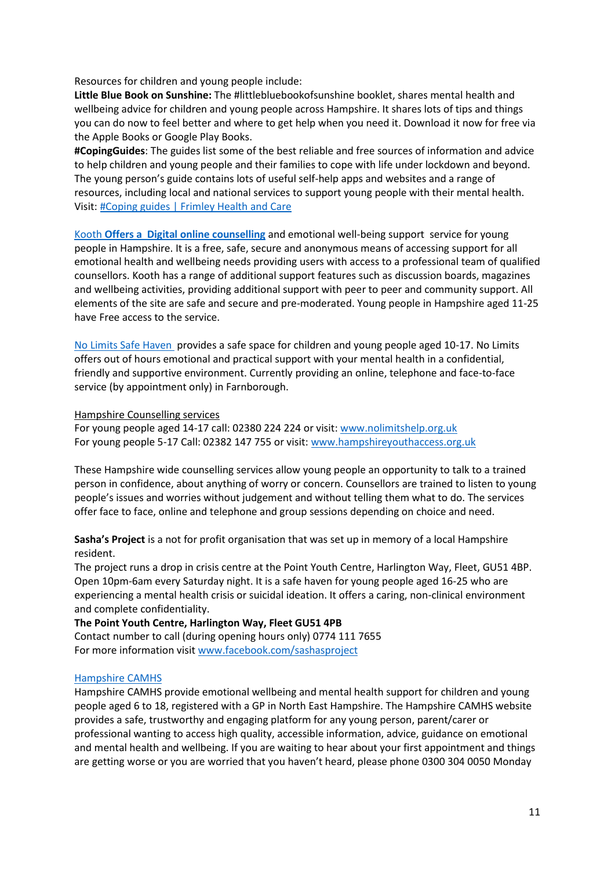Resources for children and young people include:

**Little Blue Book on Sunshine:** The #littlebluebookofsunshine booklet, shares mental health and wellbeing advice for children and young people across Hampshire. It shares lots of tips and things you can do now to feel better and where to get help when you need it. Download it now for free via the Apple Books or Google Play Books.

**#CopingGuides**: The guides list some of the best reliable and free sources of information and advice to help children and young people and their families to cope with life under lockdown and beyond. The young person's guide contains lots of useful self-help apps and websites and a range of resources, including local and national services to support young people with their mental health. Visit[: #Coping guides | Frimley Health and Care](https://www.frimleyhealthandcare.org.uk/coping%E2%80%AF)

[Kooth](https://www.kooth.com/) **Offers a [Digital online counselling](https://www.kooth.com/)** and emotional well-being support  service for young people in Hampshire. It is a free, safe, secure and anonymous means of accessing support for all emotional health and wellbeing needs providing users with access to a professional team of qualified counsellors. Kooth has a range of additional support features such as discussion boards, magazines and wellbeing activities, providing additional support with peer to peer and community support. All elements of the site are safe and secure and pre-moderated. Young people in Hampshire aged 11-25 have Free access to the service.

[No Limits Safe Haven](https://nolimitshelp.org.uk/get-help/health-wellbeing/safe-havens/) provides a safe space for children and young people aged 10-17. No Limits offers out of hours emotional and practical support with your mental health in a confidential, friendly and supportive environment. Currently providing an online, telephone and face-to-face service (by appointment only) in Farnborough.

#### Hampshire Counselling services

For young people aged 14-17 call: 02380 224 224 or visit: [www.nolimitshelp.org.uk](http://www.nolimitshelp.org.uk/) For young people 5-17 Call: 02382 147 755 or visit: [www.hampshireyouthaccess.org.uk](http://www.hampshireyouthaccess.org.uk/)

These Hampshire wide counselling services allow young people an opportunity to talk to a trained person in confidence, about anything of worry or concern. Counsellors are trained to listen to young people's issues and worries without judgement and without telling them what to do. The services offer face to face, online and telephone and group sessions depending on choice and need.

**Sasha's Project** is a not for profit organisation that was set up in memory of a local Hampshire resident.

The project runs a drop in crisis centre at the Point Youth Centre, Harlington Way, Fleet, GU51 4BP. Open 10pm-6am every Saturday night. It is a safe haven for young people aged 16-25 who are experiencing a mental health crisis or suicidal ideation. It offers a caring, non-clinical environment and complete confidentiality.

**The Point Youth Centre, Harlington Way, Fleet GU51 4PB** Contact number to call (during opening hours only) 0774 111 7655 For more information visi[t www.facebook.com/sashasproject](http://www.facebook.com/sashasproject)

#### [Hampshire CAMHS](https://hampshirecamhs.nhs.uk/%C2%A0)

Hampshire CAMHS provide emotional wellbeing and mental health support for children and young people aged 6 to 18, registered with a GP in North East Hampshire. The Hampshire CAMHS website provides a safe, trustworthy and engaging platform for any young person, parent/carer or professional wanting to access high quality, accessible information, advice, guidance on emotional and mental health and wellbeing. If you are waiting to hear about your first appointment and things are getting worse or you are worried that you haven't heard, please phone 0300 304 0050 Monday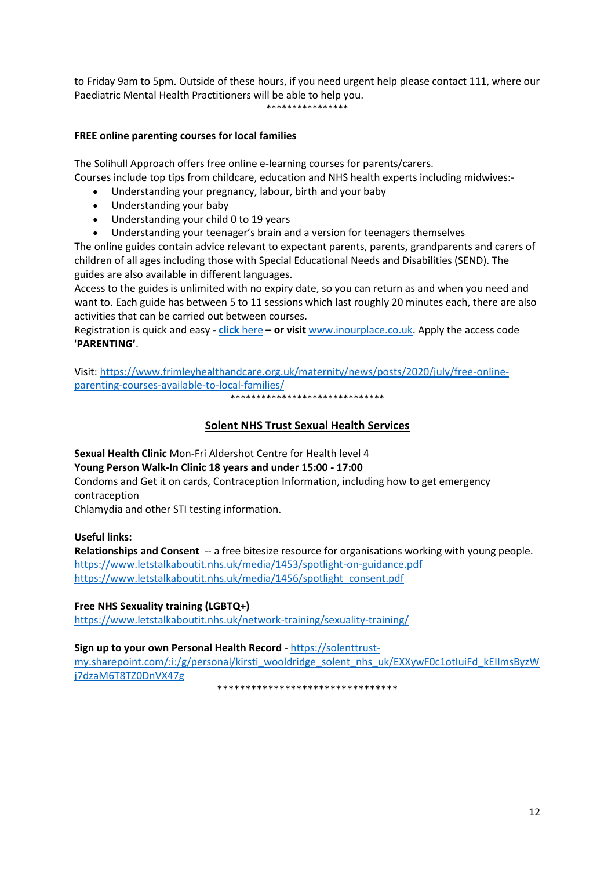to Friday 9am to 5pm. Outside of these hours, if you need urgent help please contact 111, where our Paediatric Mental Health Practitioners will be able to help you. \*\*\*\*\*\*\*\*\*\*\*\*\*\*\*\*

#### **FREE online parenting courses for local families**

The Solihull Approach offers free online e-learning courses for parents/carers. Courses include top tips from childcare, education and NHS health experts including midwives:-

- Understanding your pregnancy, labour, birth and your baby
- Understanding your baby
- Understanding your child 0 to 19 years
- Understanding your teenager's brain and a version for teenagers themselves

The online guides contain advice relevant to expectant parents, parents, grandparents and carers of children of all ages including those with Special Educational Needs and Disabilities (SEND). The guides are also available in different languages.

Access to the guides is unlimited with no expiry date, so you can return as and when you need and want to. Each guide has between 5 to 11 sessions which last roughly 20 minutes each, there are also activities that can be carried out between courses.

Registration is quick and easy **- click** [here](https://inourplace.co.uk/) **– or visit** [www.inourplace.co.uk.](http://www.inourplace.co.uk/) Apply the access code '**PARENTING'**.

Visit[: https://www.frimleyhealthandcare.org.uk/maternity/news/posts/2020/july/free-online](https://www.frimleyhealthandcare.org.uk/maternity/news/posts/2020/july/free-online-parenting-courses-available-to-local-families/)[parenting-courses-available-to-local-families/](https://www.frimleyhealthandcare.org.uk/maternity/news/posts/2020/july/free-online-parenting-courses-available-to-local-families/)

\*\*\*\*\*\*\*\*\*\*\*\*\*\*\*\*\*\*\*\*\*\*\*\*\*\*\*\*\*\*

# **Solent NHS Trust Sexual Health Services**

**Sexual Health Clinic** Mon-Fri Aldershot Centre for Health level 4 **Young Person Walk-In Clinic 18 years and under 15:00 - 17:00**

Condoms and Get it on cards, Contraception Information, including how to get emergency contraception

Chlamydia and other STI testing information.

#### **Useful links:**

**Relationships and Consent** -- a free bitesize resource for organisations working with young people. <https://www.letstalkaboutit.nhs.uk/media/1453/spotlight-on-guidance.pdf> [https://www.letstalkaboutit.nhs.uk/media/1456/spotlight\\_consent.pdf](https://www.letstalkaboutit.nhs.uk/media/1456/spotlight_consent.pdf)

**Free NHS Sexuality training (LGBTQ+)** <https://www.letstalkaboutit.nhs.uk/network-training/sexuality-training/>

#### **Sign up to your own Personal Health Record** - [https://solenttrust-](https://solenttrust-my.sharepoint.com/:i:/g/personal/kirsti_wooldridge_solent_nhs_uk/EXXywF0c1otIuiFd_kEIImsByzWj7dzaM6T8TZ0DnVX47g)

[my.sharepoint.com/:i:/g/personal/kirsti\\_wooldridge\\_solent\\_nhs\\_uk/EXXywF0c1otIuiFd\\_kEIImsByzW](https://solenttrust-my.sharepoint.com/:i:/g/personal/kirsti_wooldridge_solent_nhs_uk/EXXywF0c1otIuiFd_kEIImsByzWj7dzaM6T8TZ0DnVX47g) [j7dzaM6T8TZ0DnVX47g](https://solenttrust-my.sharepoint.com/:i:/g/personal/kirsti_wooldridge_solent_nhs_uk/EXXywF0c1otIuiFd_kEIImsByzWj7dzaM6T8TZ0DnVX47g)

\*\*\*\*\*\*\*\*\*\*\*\*\*\*\*\*\*\*\*\*\*\*\*\*\*\*\*\*\*\*\*\*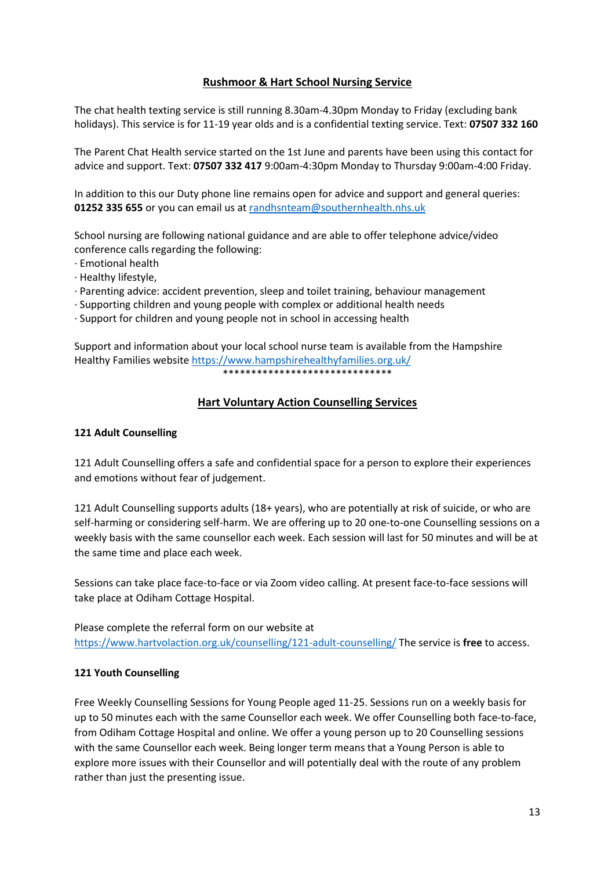# **Rushmoor & Hart School Nursing Service**

The chat health texting service is still running 8.30am-4.30pm Monday to Friday (excluding bank holidays). This service is for 11-19 year olds and is a confidential texting service. Text: **07507 332 160**

The Parent Chat Health service started on the 1st June and parents have been using this contact for advice and support. Text: **07507 332 417** 9:00am-4:30pm Monday to Thursday 9:00am-4:00 Friday.

In addition to this our Duty phone line remains open for advice and support and general queries: **01252 335 655** or you can email us at [randhsnteam@southernhealth.nhs.uk](mailto:randhsnteam@southernhealth.nhs.uk)

School nursing are following national guidance and are able to offer telephone advice/video conference calls regarding the following:

- · Emotional health
- · Healthy lifestyle,
- · Parenting advice: accident prevention, sleep and toilet training, behaviour management
- · Supporting children and young people with complex or additional health needs
- · Support for children and young people not in school in accessing health

Support and information about your local school nurse team is available from the Hampshire Healthy Families websit[e https://www.hampshirehealthyfamilies.org.uk/](https://www.hampshirehealthyfamilies.org.uk/) \*\*\*\*\*\*\*\*\*\*\*\*\*\*\*\*\*\*\*\*\*\*\*\*\*\*\*\*\*\*

# **Hart Voluntary Action Counselling Services**

#### **121 Adult Counselling**

121 Adult Counselling offers a safe and confidential space for a person to explore their experiences and emotions without fear of judgement.

121 Adult Counselling supports adults (18+ years), who are potentially at risk of suicide, or who are self-harming or considering self-harm. We are offering up to 20 one-to-one Counselling sessions on a weekly basis with the same counsellor each week. Each session will last for 50 minutes and will be at the same time and place each week.

Sessions can take place face-to-face or via Zoom video calling. At present face-to-face sessions will take place at Odiham Cottage Hospital.

Please complete the referral form on our website at <https://www.hartvolaction.org.uk/counselling/121-adult-counselling/> The service is **free** to access.

#### **121 Youth Counselling**

Free Weekly Counselling Sessions for Young People aged 11-25. Sessions run on a weekly basis for up to 50 minutes each with the same Counsellor each week. We offer Counselling both face-to-face, from Odiham Cottage Hospital and online. We offer a young person up to 20 Counselling sessions with the same Counsellor each week. Being longer term means that a Young Person is able to explore more issues with their Counsellor and will potentially deal with the route of any problem rather than just the presenting issue.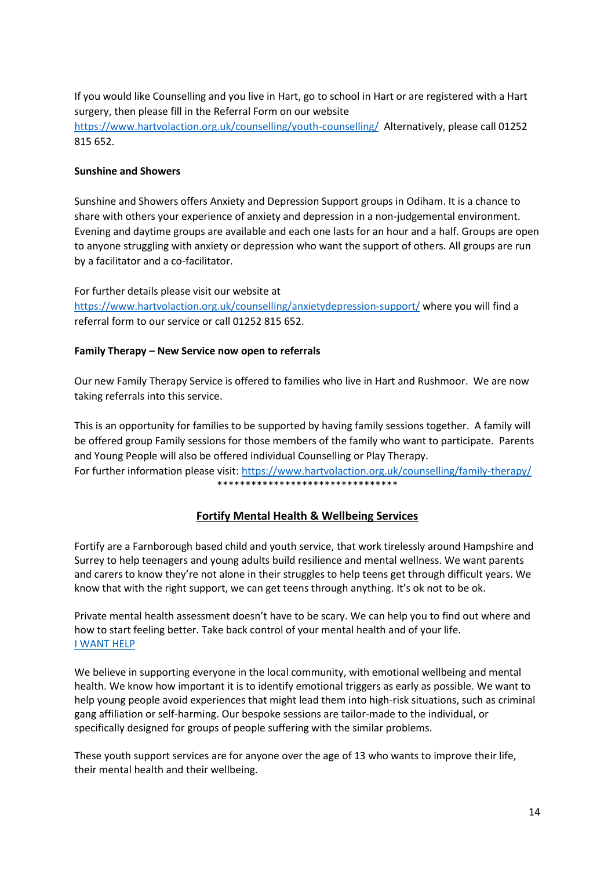If you would like Counselling and you live in Hart, go to school in Hart or are registered with a Hart surgery, then please fill in the Referral Form on our website <https://www.hartvolaction.org.uk/counselling/youth-counselling/>Alternatively, please call 01252 815 652.

#### **Sunshine and Showers**

Sunshine and Showers offers Anxiety and Depression Support groups in Odiham. It is a chance to share with others your experience of anxiety and depression in a non-judgemental environment. Evening and daytime groups are available and each one lasts for an hour and a half. Groups are open to anyone struggling with anxiety or depression who want the support of others. All groups are run by a facilitator and a co-facilitator.

For further details please visit our website at <https://www.hartvolaction.org.uk/counselling/anxietydepression-support/> where you will find a referral form to our service or call 01252 815 652.

#### **Family Therapy – New Service now open to referrals**

Our new Family Therapy Service is offered to families who live in Hart and Rushmoor. We are now taking referrals into this service.

This is an opportunity for families to be supported by having family sessions together. A family will be offered group Family sessions for those members of the family who want to participate. Parents and Young People will also be offered individual Counselling or Play Therapy. For further information please visit:<https://www.hartvolaction.org.uk/counselling/family-therapy/> \*\*\*\*\*\*\*\*\*\*\*\*\*\*\*\*\*\*\*\*\*\*\*\*\*\*\*\*\*\*\*\*

# **Fortify Mental Health & Wellbeing Services**

Fortify are a Farnborough based child and youth service, that work tirelessly around Hampshire and Surrey to help teenagers and young adults build resilience and mental wellness. We want parents and carers to know they're not alone in their struggles to help teens get through difficult years. We know that with the right support, we can get teens through anything. It's ok not to be ok.

Private mental health assessment doesn't have to be scary. We can help you to find out where and how to start feeling better. Take back control of your mental health and of your life. [I WANT HELP](https://www.fortify-services.com/contact)

We believe in supporting everyone in the local community, with emotional wellbeing and mental health. We know how important it is to identify emotional triggers as early as possible. We want to help young people avoid experiences that might lead them into high-risk situations, such as criminal gang affiliation or self-harming. Our bespoke sessions are tailor-made to the individual, or specifically designed for groups of people suffering with the similar problems.

These youth support services are for anyone over the age of 13 who wants to improve their life, their mental health and their wellbeing.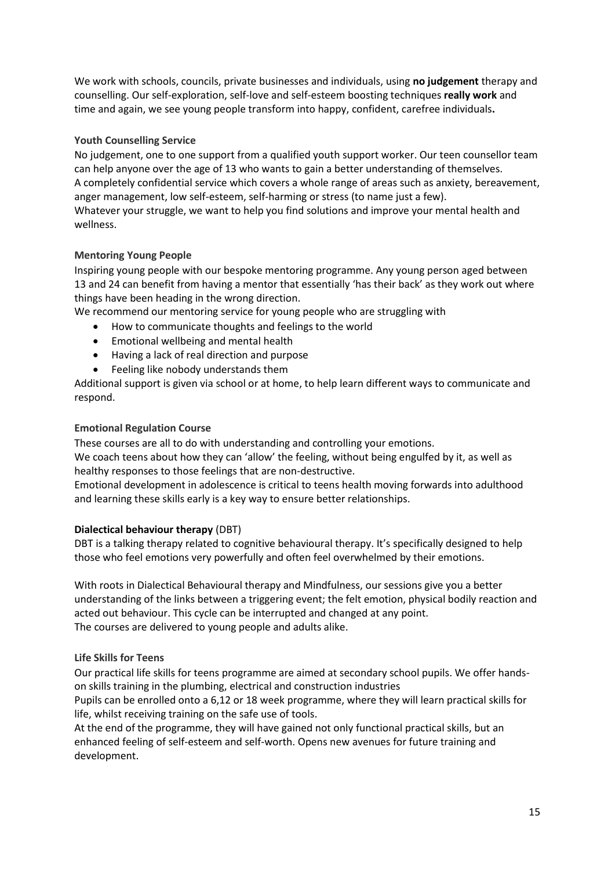We work with schools, councils, private businesses and individuals, using **no judgement** therapy and counselling. Our self-exploration, self-love and self-esteem boosting techniques **really work** and time and again, we see young people transform into happy, confident, carefree individuals**.** 

## **Youth Counselling Service**

No judgement, one to one support from a qualified youth support worker. Our teen counsellor team can help anyone over the age of 13 who wants to gain a better understanding of themselves. A completely confidential service which covers a whole range of areas such as anxiety, bereavement, anger management, low self-esteem, self-harming or stress (to name just a few). Whatever your struggle, we want to help you find solutions and improve your mental health and wellness.

# **Mentoring Young People**

Inspiring young people with our bespoke mentoring programme. Any young person aged between 13 and 24 can benefit from having a mentor that essentially 'has their back' as they work out where things have been heading in the wrong direction.

We recommend our mentoring service for young people who are struggling with

- How to communicate thoughts and feelings to the world
- Emotional wellbeing and mental health
- Having a lack of real direction and purpose
- Feeling like nobody understands them

Additional support is given via school or at home, to help learn different ways to communicate and respond.

#### **Emotional Regulation Course**

These courses are all to do with understanding and controlling your emotions.

We coach teens about how they can 'allow' the feeling, without being engulfed by it, as well as healthy responses to those feelings that are non-destructive.

Emotional development in adolescence is critical to teens health moving forwards into adulthood and learning these skills early is a key way to ensure better relationships.

#### **Dialectical behaviour therapy** (DBT)

DBT is a talking therapy related to cognitive behavioural therapy. It's specifically designed to help those who feel emotions very powerfully and often feel overwhelmed by their emotions.

With roots in Dialectical Behavioural therapy and Mindfulness, our sessions give you a better understanding of the links between a triggering event; the felt emotion, physical bodily reaction and acted out behaviour. This cycle can be interrupted and changed at any point. The courses are delivered to young people and adults alike.

#### **Life Skills for Teens**

Our practical life skills for teens programme are aimed at secondary school pupils. We offer handson skills training in the plumbing, electrical and construction industries

Pupils can be enrolled onto a 6,12 or 18 week programme, where they will learn practical skills for life, whilst receiving training on the safe use of tools.

At the end of the programme, they will have gained not only functional practical skills, but an enhanced feeling of self-esteem and self-worth. Opens new avenues for future training and development.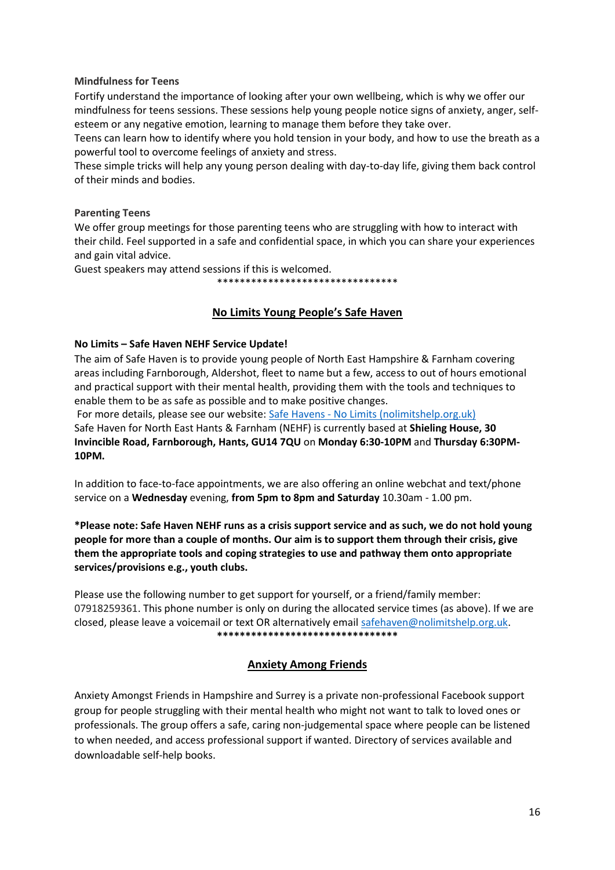#### **Mindfulness for Teens**

Fortify understand the importance of looking after your own wellbeing, which is why we offer our mindfulness for teens sessions. These sessions help young people notice signs of anxiety, anger, selfesteem or any negative emotion, learning to manage them before they take over.

Teens can learn how to identify where you hold tension in your body, and how to use the breath as a powerful tool to overcome feelings of anxiety and stress.

These simple tricks will help any young person dealing with day-to-day life, giving them back control of their minds and bodies.

#### **Parenting Teens**

We offer group meetings for those parenting teens who are struggling with how to interact with their child. Feel supported in a safe and confidential space, in which you can share your experiences and gain vital advice.

Guest speakers may attend sessions if this is welcomed.

\*\*\*\*\*\*\*\*\*\*\*\*\*\*\*\*\*\*\*\*\*\*\*\*\*\*\*\*\*\*\*\*

# **No Limits Young People's Safe Haven**

#### **No Limits – Safe Haven NEHF Service Update!**

The aim of Safe Haven is to provide young people of North East Hampshire & Farnham covering areas including Farnborough, Aldershot, fleet to name but a few, access to out of hours emotional and practical support with their mental health, providing them with the tools and techniques to enable them to be as safe as possible and to make positive changes.

For more details, please see our website: Safe Havens - [No Limits \(nolimitshelp.org.uk\)](https://nolimitshelp.org.uk/get-help/health-wellbeing/safe-havens/) Safe Haven for North East Hants & Farnham (NEHF) is currently based at **Shieling House, 30 Invincible Road, Farnborough, Hants, GU14 7QU** on **Monday 6:30-10PM** and **Thursday 6:30PM-10PM.** 

In addition to face-to-face appointments, we are also offering an online webchat and text/phone service on a **Wednesday** evening, **from 5pm to 8pm and Saturday** 10.30am - 1.00 pm.

**\*Please note: Safe Haven NEHF runs as a crisis support service and as such, we do not hold young people for more than a couple of months. Our aim is to support them through their crisis, give them the appropriate tools and coping strategies to use and pathway them onto appropriate services/provisions e.g., youth clubs.** 

Please use the following number to get support for yourself, or a friend/family member: 07918259361. This phone number is only on during the allocated service times (as above). If we are closed, please leave a voicemail or text OR alternatively emai[l safehaven@nolimitshelp.org.uk.](mailto:safehaven@nolimitshelp.org.uk) **\*\*\*\*\*\*\*\*\*\*\*\*\*\*\*\*\*\*\*\*\*\*\*\*\*\*\*\*\*\*\*\***

# **Anxiety Among Friends**

Anxiety Amongst Friends in Hampshire and Surrey is a private non-professional Facebook support group for people struggling with their mental health who might not want to talk to loved ones or professionals. The group offers a safe, caring non-judgemental space where people can be listened to when needed, and access professional support if wanted. Directory of services available and downloadable self-help books.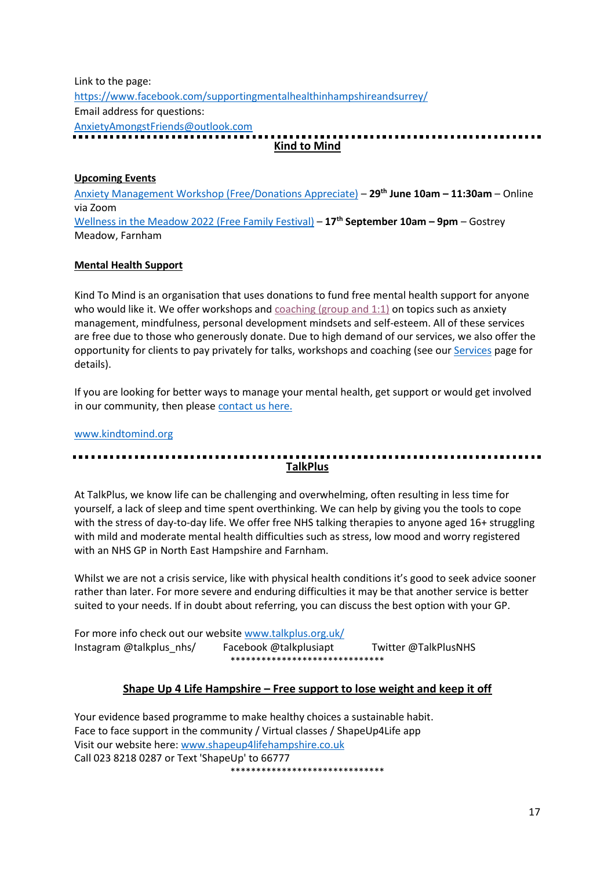Link to the page: <https://www.facebook.com/supportingmentalhealthinhampshireandsurrey/> Email address for questions: [AnxietyAmongstFriends@outlook.com](mailto:AnxietyAmongstFriends@outlook.com) ................. **Kind to Mind**

#### **Upcoming Events**

[Anxiety Management Workshop \(Free/Donations Appreciate\)](https://www.eventbrite.co.uk/e/anxiety-management-workshop-tickets-336585445127?aff=efbevent&fbclid=IwAR2_cDW9arQuAs7WouYVLKxJyYCVLGjbaZO1ohJMIAb8iTDe2tLdqAUcC5Q) – **29th June 10am – 11:30am** – Online via Zoom [Wellness in the Meadow 2022 \(Free Family Festival\)](https://www.eventbrite.co.uk/e/276646034737) – **17th September 10am – 9pm** – Gostrey Meadow, Farnham

#### **Mental Health Support**

Kind To Mind is an organisation that uses donations to fund free mental health support for anyone who would like it. We offer workshops and  $\overline{coaching}$  (group and 1:1) on topics such as anxiety management, mindfulness, personal development mindsets and self-esteem. All of these services are free due to those who generously donate. Due to high demand of our services, we also offer the opportunity for clients to pay privately for talks, workshops and coaching (see ou[r Services](https://www.kindtomind.org/services-4) page for details).

If you are looking for better ways to manage your mental health, get support or would get involved in our community, then please [contact us here.](https://www.kindtomind.org/contact)

[www.kindtomind.org](http://www.kindtomind.org/)

# **TalkPlus**

At TalkPlus, we know life can be challenging and overwhelming, often resulting in less time for yourself, a lack of sleep and time spent overthinking. We can help by giving you the tools to cope with the stress of day-to-day life. We offer free NHS talking therapies to anyone aged 16+ struggling with mild and moderate mental health difficulties such as stress, low mood and worry registered with an NHS GP in North East Hampshire and Farnham.

Whilst we are not a crisis service, like with physical health conditions it's good to seek advice sooner rather than later. For more severe and enduring difficulties it may be that another service is better suited to your needs. If in doubt about referring, you can discuss the best option with your GP.

For more info check out our website [www.talkplus.org.uk/](https://eur02.safelinks.protection.outlook.com/?url=http%3A%2F%2Fwww.talkplus.org.uk%2F&data=04%7C01%7Cliz.glenn%40hart.gov.uk%7C5000f6419135438a4c3a08d98a695b4c%7C437487d01c5f47b6bd4ea482ae3b011e%7C0%7C1%7C637693007381045653%7CUnknown%7CTWFpbGZsb3d8eyJWIjoiMC4wLjAwMDAiLCJQIjoiV2luMzIiLCJBTiI6Ik1haWwiLCJXVCI6Mn0%3D%7C1000&sdata=8hVJrKV3EzfaS3vVk2bEtDWfcX4Ibgg8p6cc5R6%2FXbE%3D&reserved=0) Instagram @talkplus\_nhs/ Facebook @talkplusiapt Twitter @TalkPlusNHS \*\*\*\*\*\*\*\*\*\*\*\*\*\*\*\*\*\*\*\*\*\*\*\*\*\*\*\*\*\*

# **Shape Up 4 Life Hampshire – Free support to lose weight and keep it off**

Your evidence based programme to make healthy choices a sustainable habit. Face to face support in the community / Virtual classes / ShapeUp4Life app Visit our website here: [www.shapeup4lifehampshire.co.uk](http://www.shapeup4lifehampshire.co.uk/)  Call 023 8218 0287 or Text 'ShapeUp' to 66777 \*\*\*\*\*\*\*\*\*\*\*\*\*\*\*\*\*\*\*\*\*\*\*\*\*\*\*\*\*\*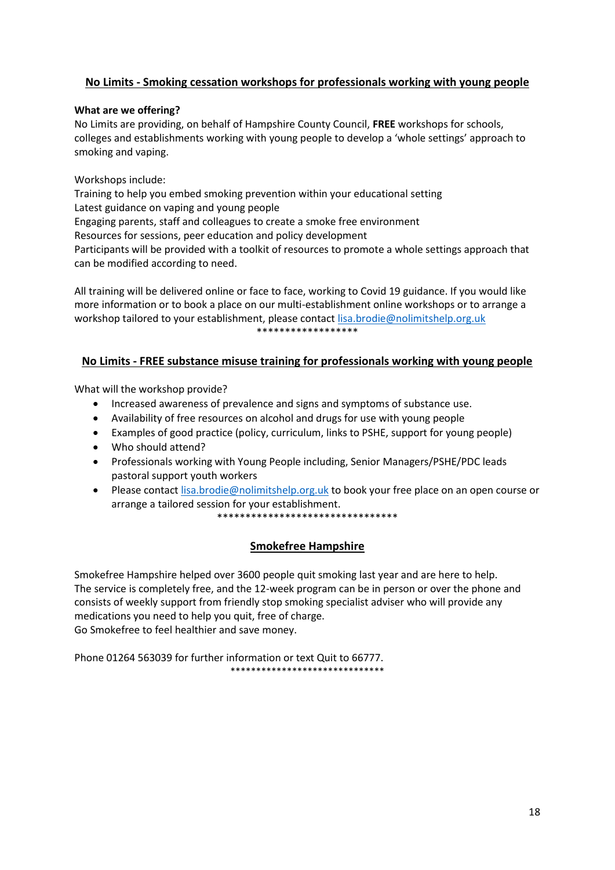# **No Limits - Smoking cessation workshops for professionals working with young people**

#### **What are we offering?**

No Limits are providing, on behalf of Hampshire County Council, **FREE** workshops for schools, colleges and establishments working with young people to develop a 'whole settings' approach to smoking and vaping.

#### Workshops include:

Training to help you embed smoking prevention within your educational setting Latest guidance on vaping and young people Engaging parents, staff and colleagues to create a smoke free environment Resources for sessions, peer education and policy development Participants will be provided with a toolkit of resources to promote a whole settings approach that can be modified according to need.

All training will be delivered online or face to face, working to Covid 19 guidance. If you would like more information or to book a place on our multi-establishment online workshops or to arrange a workshop tailored to your establishment, please contact [lisa.brodie@nolimitshelp.org.uk](mailto:lisa.brodie@nolimitshelp.org.uk) \*\*\*\*\*\*\*\*\*\*\*\*\*\*\*\*\*\*

# **No Limits - FREE substance misuse training for professionals working with young people**

What will the workshop provide?

- Increased awareness of prevalence and signs and symptoms of substance use.
- Availability of free resources on alcohol and drugs for use with young people
- Examples of good practice (policy, curriculum, links to PSHE, support for young people)
- Who should attend?
- Professionals working with Young People including, Senior Managers/PSHE/PDC leads pastoral support youth workers
- Please contact [lisa.brodie@nolimitshelp.org.uk](mailto:lisa.brodie@nolimitshelp.org.uk) to book your free place on an open course or arrange a tailored session for your establishment. \*\*\*\*\*\*\*\*\*\*\*\*\*\*\*\*\*\*\*\*\*\*\*\*\*\*\*\*\*\*\*\*

# **Smokefree Hampshire**

Smokefree Hampshire helped over 3600 people quit smoking last year and are here to help. The service is completely free, and the 12-week program can be in person or over the phone and consists of weekly support from friendly stop smoking specialist adviser who will provide any medications you need to help you quit, free of charge. Go Smokefree to feel healthier and save money.

Phone 01264 563039 for further information or text Quit to 66777. \*\*\*\*\*\*\*\*\*\*\*\*\*\*\*\*\*\*\*\*\*\*\*\*\*\*\*\*\*\*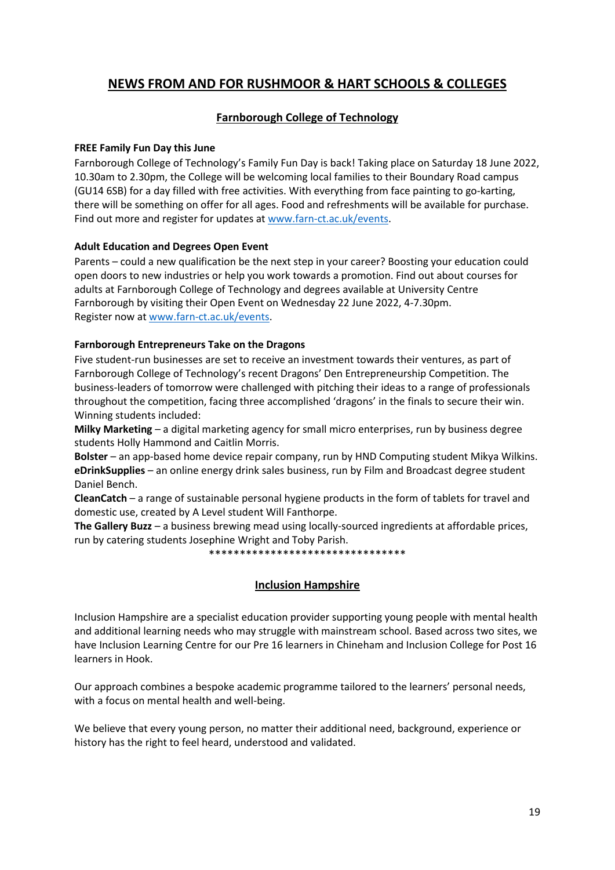# **NEWS FROM AND FOR RUSHMOOR & HART SCHOOLS & COLLEGES**

# **Farnborough College of Technology**

#### **FREE Family Fun Day this June**

Farnborough College of Technology's Family Fun Day is back! Taking place on Saturday 18 June 2022, 10.30am to 2.30pm, the College will be welcoming local families to their Boundary Road campus (GU14 6SB) for a day filled with free activities. With everything from face painting to go-karting, there will be something on offer for all ages. Food and refreshments will be available for purchase. Find out more and register for updates at [www.farn-ct.ac.uk/events.](http://www.farn-ct.ac.uk/events)

#### **Adult Education and Degrees Open Event**

Parents – could a new qualification be the next step in your career? Boosting your education could open doors to new industries or help you work towards a promotion. Find out about courses for adults at Farnborough College of Technology and degrees available at University Centre Farnborough by visiting their Open Event on Wednesday 22 June 2022, 4-7.30pm. Register now at [www.farn-ct.ac.uk/events.](http://www.farn-ct.ac.uk/events)

#### **Farnborough Entrepreneurs Take on the Dragons**

Five student-run businesses are set to receive an investment towards their ventures, as part of Farnborough College of Technology's recent Dragons' Den Entrepreneurship Competition. The business-leaders of tomorrow were challenged with pitching their ideas to a range of professionals throughout the competition, facing three accomplished 'dragons' in the finals to secure their win. Winning students included:

**Milky Marketing** – a digital marketing agency for small micro enterprises, run by business degree students Holly Hammond and Caitlin Morris.

**Bolster** – an app-based home device repair company, run by HND Computing student Mikya Wilkins. **eDrinkSupplies** – an online energy drink sales business, run by Film and Broadcast degree student Daniel Bench.

**CleanCatch** – a range of sustainable personal hygiene products in the form of tablets for travel and domestic use, created by A Level student Will Fanthorpe.

**The Gallery Buzz** – a business brewing mead using locally-sourced ingredients at affordable prices, run by catering students Josephine Wright and Toby Parish.

\*\*\*\*\*\*\*\*\*\*\*\*\*\*\*\*\*\*\*\*\*\*\*\*\*\*\*\*\*\*\*\*

# **Inclusion Hampshire**

Inclusion Hampshire are a specialist education provider supporting young people with mental health and additional learning needs who may struggle with mainstream school. Based across two sites, we have Inclusion Learning Centre for our Pre 16 learners in Chineham and Inclusion College for Post 16 learners in Hook.

Our approach combines a bespoke academic programme tailored to the learners' personal needs, with a focus on mental health and well-being.

We believe that every young person, no matter their additional need, background, experience or history has the right to feel heard, understood and validated.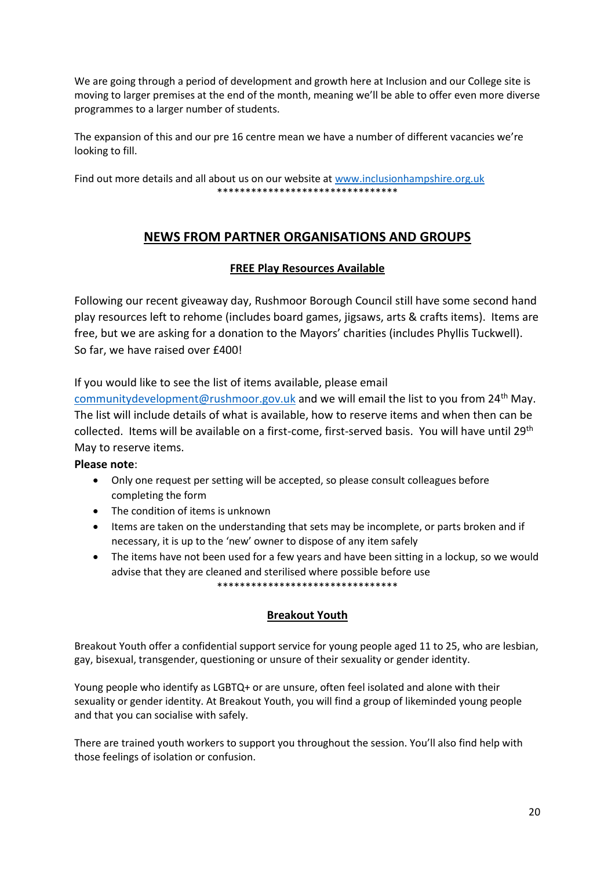We are going through a period of development and growth here at Inclusion and our College site is moving to larger premises at the end of the month, meaning we'll be able to offer even more diverse programmes to a larger number of students.

The expansion of this and our pre 16 centre mean we have a number of different vacancies we're looking to fill.

Find out more details and all about us on our website at [www.inclusionhampshire.org.uk](http://www.inclusionhampshire.org.uk/) \*\*\*\*\*\*\*\*\*\*\*\*\*\*\*\*\*\*\*\*\*\*\*\*\*\*\*\*\*\*\*\*\*\*\*

# **NEWS FROM PARTNER ORGANISATIONS AND GROUPS**

# **FREE Play Resources Available**

Following our recent giveaway day, Rushmoor Borough Council still have some second hand play resources left to rehome (includes board games, jigsaws, arts & crafts items). Items are free, but we are asking for a donation to the Mayors' charities (includes Phyllis Tuckwell). So far, we have raised over £400!

If you would like to see the list of items available, please email

[communitydevelopment@rushmoor.gov.uk](mailto:communitydevelopment@rushmoor.gov.uk) and we will email the list to you from  $24<sup>th</sup>$  May. The list will include details of what is available, how to reserve items and when then can be collected. Items will be available on a first-come, first-served basis. You will have until 29th May to reserve items.

# **Please note**:

- Only one request per setting will be accepted, so please consult colleagues before completing the form
- The condition of items is unknown
- Items are taken on the understanding that sets may be incomplete, or parts broken and if necessary, it is up to the 'new' owner to dispose of any item safely
- The items have not been used for a few years and have been sitting in a lockup, so we would advise that they are cleaned and sterilised where possible before use

\*\*\*\*\*\*\*\*\*\*\*\*\*\*\*\*\*\*\*\*\*\*\*\*\*\*\*\*\*\*\*\*

# **Breakout Youth**

Breakout Youth offer a confidential support service for young people aged 11 to 25, who are lesbian, gay, bisexual, transgender, questioning or unsure of their sexuality or gender identity.

Young people who identify as LGBTQ+ or are unsure, often feel isolated and alone with their sexuality or gender identity. At Breakout Youth, you will find a group of likeminded young people and that you can socialise with safely.

There are trained youth workers to support you throughout the session. You'll also find help with those feelings of isolation or confusion.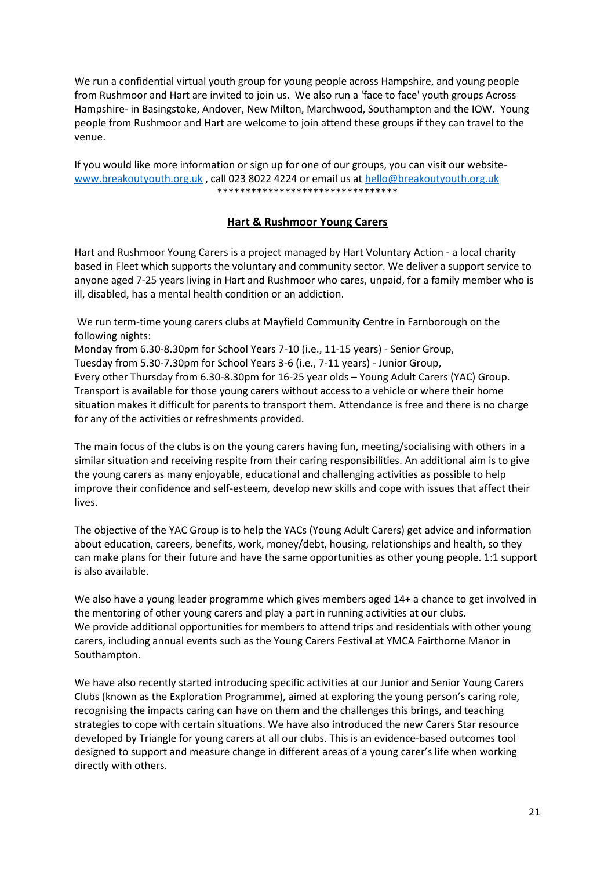We run a confidential virtual youth group for young people across Hampshire, and young people from Rushmoor and Hart are invited to join us. We also run a 'face to face' youth groups Across Hampshire- in Basingstoke, Andover, New Milton, Marchwood, Southampton and the IOW. Young people from Rushmoor and Hart are welcome to join attend these groups if they can travel to the venue.

If you would like more information or sign up for one of our groups, you can visit our website[www.breakoutyouth.org.uk](http://www.breakoutyouth.org.uk/) , call 023 8022 4224 or email us at [hello@breakoutyouth.org.uk](mailto:hello@breakoutyouth.org.uk)  \*\*\*\*\*\*\*\*\*\*\*\*\*\*\*\*\*\*\*\*\*\*\*\*\*\*\*\*\*\*\*\*

# **Hart & Rushmoor Young Carers**

Hart and Rushmoor Young Carers is a project managed by Hart Voluntary Action - a local charity based in Fleet which supports the voluntary and community sector. We deliver a support service to anyone aged 7-25 years living in Hart and Rushmoor who cares, unpaid, for a family member who is ill, disabled, has a mental health condition or an addiction.

We run term-time young carers clubs at Mayfield Community Centre in Farnborough on the following nights:

Monday from 6.30-8.30pm for School Years 7-10 (i.e., 11-15 years) - Senior Group, Tuesday from 5.30-7.30pm for School Years 3-6 (i.e., 7-11 years) - Junior Group, Every other Thursday from 6.30-8.30pm for 16-25 year olds – Young Adult Carers (YAC) Group. Transport is available for those young carers without access to a vehicle or where their home situation makes it difficult for parents to transport them. Attendance is free and there is no charge for any of the activities or refreshments provided.

The main focus of the clubs is on the young carers having fun, meeting/socialising with others in a similar situation and receiving respite from their caring responsibilities. An additional aim is to give the young carers as many enjoyable, educational and challenging activities as possible to help improve their confidence and self-esteem, develop new skills and cope with issues that affect their lives.

The objective of the YAC Group is to help the YACs (Young Adult Carers) get advice and information about education, careers, benefits, work, money/debt, housing, relationships and health, so they can make plans for their future and have the same opportunities as other young people. 1:1 support is also available.

We also have a young leader programme which gives members aged 14+ a chance to get involved in the mentoring of other young carers and play a part in running activities at our clubs. We provide additional opportunities for members to attend trips and residentials with other young carers, including annual events such as the Young Carers Festival at YMCA Fairthorne Manor in Southampton.

We have also recently started introducing specific activities at our Junior and Senior Young Carers Clubs (known as the Exploration Programme), aimed at exploring the young person's caring role, recognising the impacts caring can have on them and the challenges this brings, and teaching strategies to cope with certain situations. We have also introduced the new Carers Star resource developed by Triangle for young carers at all our clubs. This is an evidence-based outcomes tool designed to support and measure change in different areas of a young carer's life when working directly with others.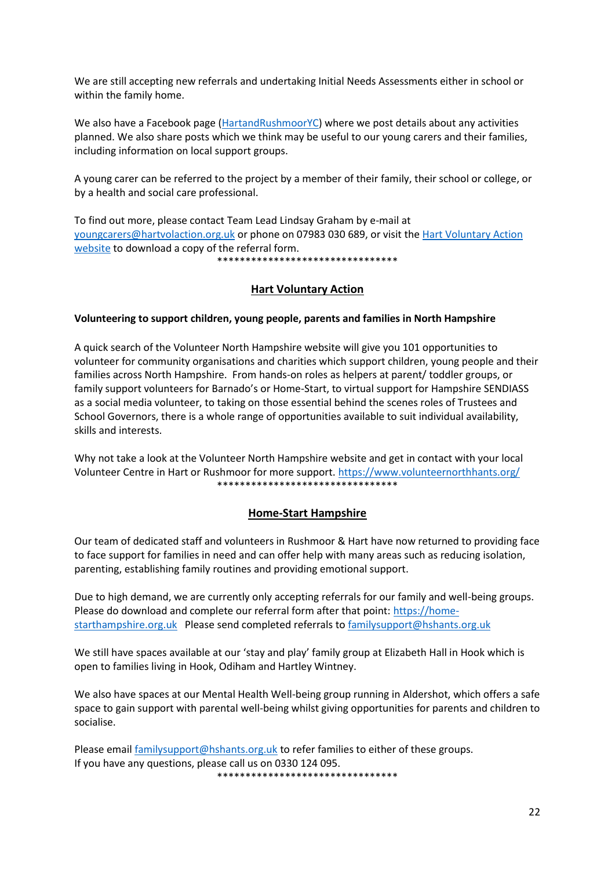We are still accepting new referrals and undertaking Initial Needs Assessments either in school or within the family home.

We also have a Facebook page [\(HartandRushmoorYC\)](https://www.facebook.com/HartandRushmoorYC/) where we post details about any activities planned. We also share posts which we think may be useful to our young carers and their families, including information on local support groups.

A young carer can be referred to the project by a member of their family, their school or college, or by a health and social care professional.

To find out more, please contact Team Lead Lindsay Graham by e-mail at [youngcarers@hartvolaction.org.uk](mailto:youngcarers@hartvolaction.org.uk) or phone on 07983 030 689, or visit the [Hart Voluntary Action](https://www.hartvolaction.org.uk/services-for-residents/young-carers-support/)  [website](https://www.hartvolaction.org.uk/services-for-residents/young-carers-support/) to download a copy of the referral form.

\*\*\*\*\*\*\*\*\*\*\*\*\*\*\*\*\*\*\*\*\*\*\*\*\*\*\*\*\*\*\*\*

#### **Hart Voluntary Action**

#### **Volunteering to support children, young people, parents and families in North Hampshire**

A quick search of the Volunteer North Hampshire website will give you 101 opportunities to volunteer for community organisations and charities which support children, young people and their families across North Hampshire. From hands-on roles as helpers at parent/ toddler groups, or family support volunteers for Barnado's or Home-Start, to virtual support for Hampshire SENDIASS as a social media volunteer, to taking on those essential behind the scenes roles of Trustees and School Governors, there is a whole range of opportunities available to suit individual availability, skills and interests.

Why not take a look at the Volunteer North Hampshire website and get in contact with your local Volunteer Centre in Hart or Rushmoor for more support.<https://www.volunteernorthhants.org/> \*\*\*\*\*\*\*\*\*\*\*\*\*\*\*\*\*\*\*\*\*\*\*\*\*\*\*\*\*\*\*\*

#### **Home-Start Hampshire**

Our team of dedicated staff and volunteers in Rushmoor & Hart have now returned to providing face to face support for families in need and can offer help with many areas such as reducing isolation, parenting, establishing family routines and providing emotional support.

Due to high demand, we are currently only accepting referrals for our family and well-being groups. Please do download and complete our referral form after that point[: https://home](https://home-starthampshire.org.uk/)[starthampshire.org.uk](https://home-starthampshire.org.uk/) Please send completed referrals t[o familysupport@hshants.org.uk](mailto:familysupport@hshants.org.uk)

We still have spaces available at our 'stay and play' family group at Elizabeth Hall in Hook which is open to families living in Hook, Odiham and Hartley Wintney.

We also have spaces at our Mental Health Well-being group running in Aldershot, which offers a safe space to gain support with parental well-being whilst giving opportunities for parents and children to socialise.

Please email [familysupport@hshants.org.uk](mailto:familysupport@hshants.org.uk) to refer families to either of these groups. If you have any questions, please call us on 0330 124 095. \*\*\*\*\*\*\*\*\*\*\*\*\*\*\*\*\*\*\*\*\*\*\*\*\*\*\*\*\*\*\*\*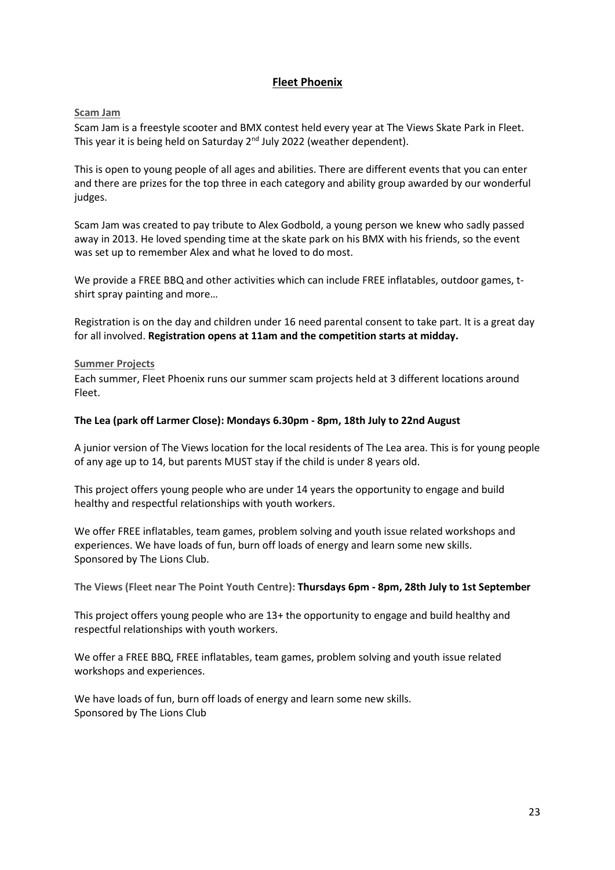# **Fleet Phoenix**

#### **Scam Jam**

Scam Jam is a freestyle scooter and BMX contest held every year at The Views Skate Park in Fleet. This year it is being held on Saturday 2<sup>nd</sup> July 2022 (weather dependent).

This is open to young people of all ages and abilities. There are different events that you can enter and there are prizes for the top three in each category and ability group awarded by our wonderful judges.

Scam Jam was created to pay tribute to Alex Godbold, a young person we knew who sadly passed away in 2013. He loved spending time at the skate park on his BMX with his friends, so the event was set up to remember Alex and what he loved to do most.

We provide a FREE BBQ and other activities which can include FREE inflatables, outdoor games, tshirt spray painting and more…

Registration is on the day and children under 16 need parental consent to take part. It is a great day for all involved. **Registration opens at 11am and the competition starts at midday.**

#### **Summer Projects**

Each summer, Fleet Phoenix runs our summer scam projects held at 3 different locations around Fleet.

#### **The Lea (park off Larmer Close): Mondays 6.30pm - 8pm, 18th July to 22nd August**

A junior version of The Views location for the local residents of The Lea area. This is for young people of any age up to 14, but parents MUST stay if the child is under 8 years old.

This project offers young people who are under 14 years the opportunity to engage and build healthy and respectful relationships with youth workers.

We offer FREE inflatables, team games, problem solving and youth issue related workshops and experiences. We have loads of fun, burn off loads of energy and learn some new skills. Sponsored by The Lions Club.

**The Views (Fleet near The Point Youth Centre): Thursdays 6pm - 8pm, 28th July to 1st September** 

This project offers young people who are 13+ the opportunity to engage and build healthy and respectful relationships with youth workers.

We offer a FREE BBQ, FREE inflatables, team games, problem solving and youth issue related workshops and experiences.

We have loads of fun, burn off loads of energy and learn some new skills. Sponsored by The Lions Club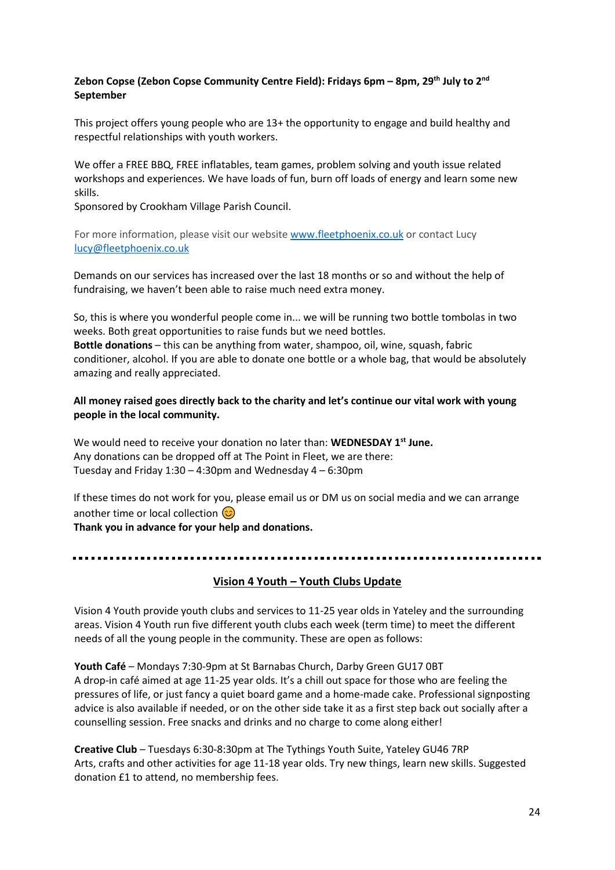# **Zebon Copse (Zebon Copse Community Centre Field): Fridays 6pm – 8pm, 29th July to 2nd September**

This project offers young people who are 13+ the opportunity to engage and build healthy and respectful relationships with youth workers.

We offer a FREE BBQ, FREE inflatables, team games, problem solving and youth issue related workshops and experiences. We have loads of fun, burn off loads of energy and learn some new skills.

Sponsored by Crookham Village Parish Council.

For more information, please visit our website [www.fleetphoenix.co.uk](http://www.fleetphoenix.co.uk/) or contact Lucy [lucy@fleetphoenix.co.uk](mailto:lucy@fleetphoenix.co.uk)

Demands on our services has increased over the last 18 months or so and without the help of fundraising, we haven't been able to raise much need extra money.

So, this is where you wonderful people come in... we will be running two bottle tombolas in two weeks. Both great opportunities to raise funds but we need bottles.

**Bottle donations** – this can be anything from water, shampoo, oil, wine, squash, fabric conditioner, alcohol. If you are able to donate one bottle or a whole bag, that would be absolutely amazing and really appreciated.

## **All money raised goes directly back to the charity and let's continue our vital work with young people in the local community.**

We would need to receive your donation no later than: **WEDNESDAY 1st June.** Any donations can be dropped off at The Point in Fleet, we are there: Tuesday and Friday 1:30 – 4:30pm and Wednesday 4 – 6:30pm

If these times do not work for you, please [email us](mailto:info@fleetphoenix.co.uk?subject=Bottle%20Tombola%20%2F%20Raffle%20Prize) or DM us on [social media](https://www.facebook.com/fleetphoenix.co.uk) and we can arrange another time or local collection  $\circled{c}$ 

**Thank you in advance for your help and donations.**

#### 

#### **Vision 4 Youth – Youth Clubs Update**

Vision 4 Youth provide youth clubs and services to 11-25 year olds in Yateley and the surrounding areas. Vision 4 Youth run five different youth clubs each week (term time) to meet the different needs of all the young people in the community. These are open as follows:

**Youth Café** – Mondays 7:30-9pm at St Barnabas Church, Darby Green GU17 0BT A drop-in café aimed at age 11-25 year olds. It's a chill out space for those who are feeling the pressures of life, or just fancy a quiet board game and a home-made cake. Professional signposting advice is also available if needed, or on the other side take it as a first step back out socially after a counselling session. Free snacks and drinks and no charge to come along either!

**Creative Club** – Tuesdays 6:30-8:30pm at The Tythings Youth Suite, Yateley GU46 7RP Arts, crafts and other activities for age 11-18 year olds. Try new things, learn new skills. Suggested donation £1 to attend, no membership fees.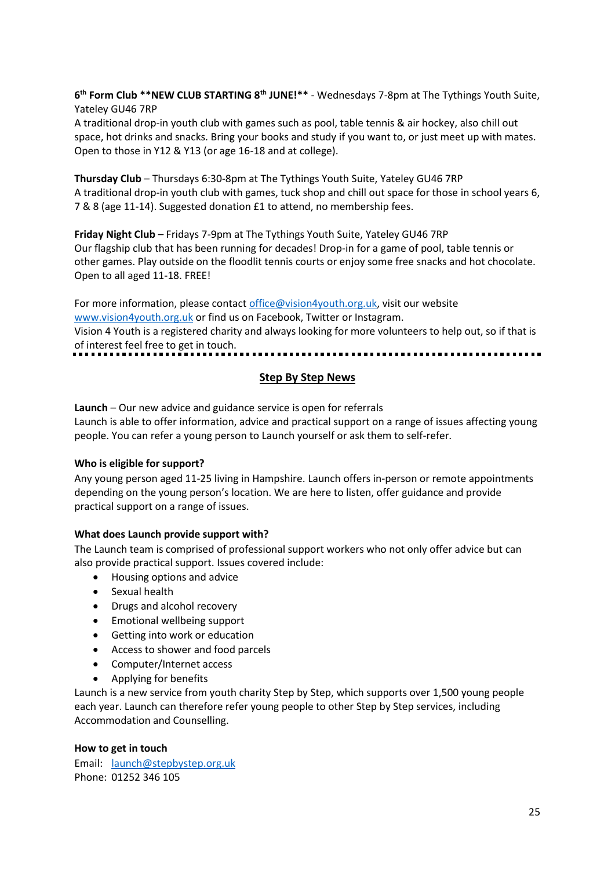**6 th Form Club \*\*NEW CLUB STARTING 8th JUNE!\*\*** - Wednesdays 7-8pm at The Tythings Youth Suite, Yateley GU46 7RP

A traditional drop-in youth club with games such as pool, table tennis & air hockey, also chill out space, hot drinks and snacks. Bring your books and study if you want to, or just meet up with mates. Open to those in Y12 & Y13 (or age 16-18 and at college).

**Thursday Club** – Thursdays 6:30-8pm at The Tythings Youth Suite, Yateley GU46 7RP A traditional drop-in youth club with games, tuck shop and chill out space for those in school years 6, 7 & 8 (age 11-14). Suggested donation £1 to attend, no membership fees.

**Friday Night Club** – Fridays 7-9pm at The Tythings Youth Suite, Yateley GU46 7RP Our flagship club that has been running for decades! Drop-in for a game of pool, table tennis or other games. Play outside on the floodlit tennis courts or enjoy some free snacks and hot chocolate. Open to all aged 11-18. FREE!

For more information, please contact [office@vision4youth.org.uk,](mailto:office@vision4youth.org.uk) visit our website [www.vision4youth.org.uk](http://www.vision4youth.org.uk/) or find us on Facebook, Twitter or Instagram. Vision 4 Youth is a registered charity and always looking for more volunteers to help out, so if that is of interest feel free to get in touch. 

# **Step By Step News**

**Launch** – Our new advice and guidance service is open for referrals Launch is able to offer information, advice and practical support on a range of issues affecting young people. You can refer a young person to Launch yourself or ask them to self-refer.

# **Who is eligible for support?**

Any young person aged 11-25 living in Hampshire. Launch offers in-person or remote appointments depending on the young person's location. We are here to listen, offer guidance and provide practical support on a range of issues.

#### **What does Launch provide support with?**

The Launch team is comprised of professional support workers who not only offer advice but can also provide practical support. Issues covered include:

- Housing options and advice
- Sexual health
- Drugs and alcohol recovery
- Emotional wellbeing support
- Getting into work or education
- Access to shower and food parcels
- Computer/Internet access
- Applying for benefits

Launch is a new service from youth charity Step by Step, which supports over 1,500 young people each year. Launch can therefore refer young people to other Step by Step services, including Accommodation and Counselling.

#### **How to get in touch**

Email: [launch@stepbystep.org.uk](mailto:launch@stepbystep.org.uk)  Phone: 01252 346 105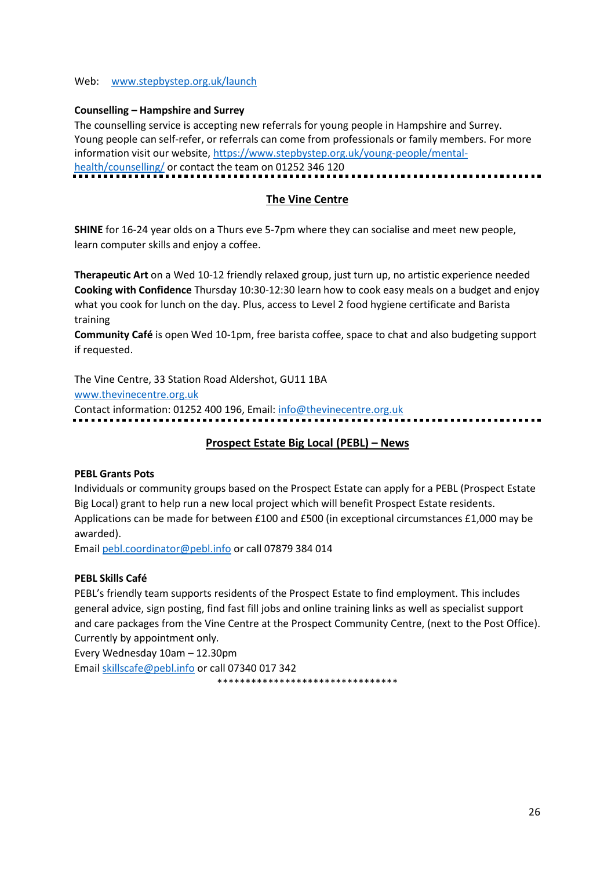#### Web: [www.stepbystep.org.uk/launch](http://www.stepbystep.org.uk/launch)

#### **Counselling – Hampshire and Surrey**

The counselling service is accepting new referrals for young people in Hampshire and Surrey. Young people can self-refer, or referrals can come from professionals or family members. For more information visit our website, [https://www.stepbystep.org.uk/young-people/mental](https://www.stepbystep.org.uk/young-people/mental-health/counselling/)[health/counselling/](https://www.stepbystep.org.uk/young-people/mental-health/counselling/) or contact the team on 01252 346 120

## **The Vine Centre**

**SHINE** for 16-24 year olds on a Thurs eve 5-7pm where they can socialise and meet new people, learn computer skills and enjoy a coffee.

**Therapeutic Art** on a Wed 10-12 friendly relaxed group, just turn up, no artistic experience needed **Cooking with Confidence** Thursday 10:30-12:30 learn how to cook easy meals on a budget and enjoy what you cook for lunch on the day. Plus, access to Level 2 food hygiene certificate and Barista training

**Community Café** is open Wed 10-1pm, free barista coffee, space to chat and also budgeting support if requested.

The Vine Centre, 33 Station Road Aldershot, GU11 1BA

[www.thevinecentre.org.uk](http://www.thevinecentre.org.uk/)

Contact information: 01252 400 196, Email: [info@thevinecentre.org.uk](mailto:info@thevinecentre.org.uk)

# **Prospect Estate Big Local (PEBL) – News**

#### **PEBL Grants Pots**

Individuals or community groups based on the Prospect Estate can apply for a PEBL (Prospect Estate Big Local) grant to help run a new local project which will benefit Prospect Estate residents. Applications can be made for between £100 and £500 (in exceptional circumstances £1,000 may be awarded).

Email [pebl.coordinator@pebl.info](mailto:pebl.coordinator@pebl.infom) or call 07879 384 014

#### **PEBL Skills Café**

PEBL's friendly team supports residents of the Prospect Estate to find employment. This includes general advice, sign posting, find fast fill jobs and online training links as well as specialist support and care packages from the Vine Centre at the Prospect Community Centre, (next to the Post Office). Currently by appointment only*.* 

Every Wednesday 10am – 12.30pm

Email [skillscafe@pebl.info](mailto:skillscafe@pebl.info) or call 07340 017 342

\*\*\*\*\*\*\*\*\*\*\*\*\*\*\*\*\*\*\*\*\*\*\*\*\*\*\*\*\*\*\*\*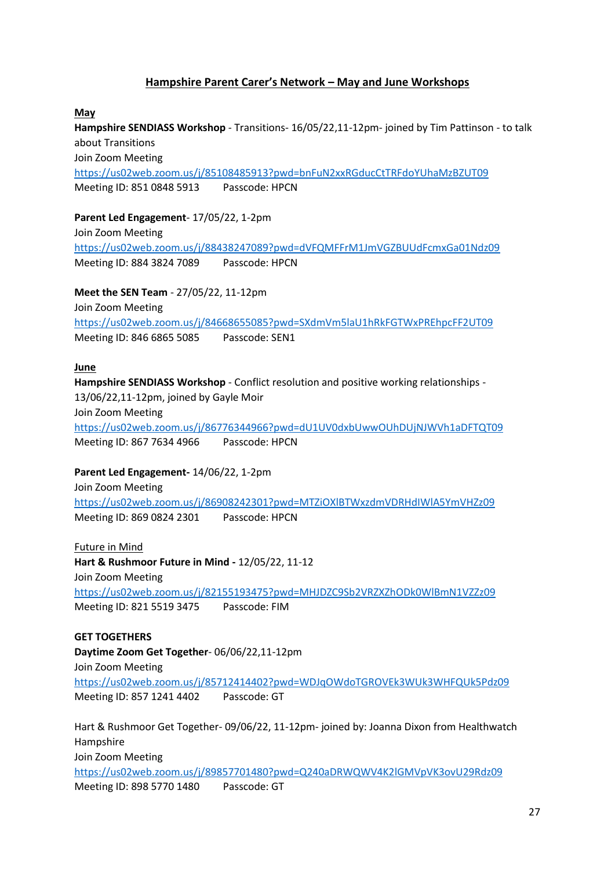# **Hampshire Parent Carer's Network – May and June Workshops**

#### **May**

**Hampshire SENDIASS Workshop** - Transitions- 16/05/22,11-12pm- joined by Tim Pattinson - to talk about Transitions Join Zoom Meeting

<https://us02web.zoom.us/j/85108485913?pwd=bnFuN2xxRGducCtTRFdoYUhaMzBZUT09> Meeting ID: 851 0848 5913 Passcode: HPCN

**Parent Led Engagement**- 17/05/22, 1-2pm Join Zoom Meeting <https://us02web.zoom.us/j/88438247089?pwd=dVFQMFFrM1JmVGZBUUdFcmxGa01Ndz09> Meeting ID: 884 3824 7089 Passcode: HPCN

**Meet the SEN Team** - 27/05/22, 11-12pm Join Zoom Meeting <https://us02web.zoom.us/j/84668655085?pwd=SXdmVm5laU1hRkFGTWxPREhpcFF2UT09> Meeting ID: 846 6865 5085 Passcode: SEN1

#### **June**

**Hampshire SENDIASS Workshop** - Conflict resolution and positive working relationships - 13/06/22,11-12pm, joined by Gayle Moir Join Zoom Meeting <https://us02web.zoom.us/j/86776344966?pwd=dU1UV0dxbUwwOUhDUjNJWVh1aDFTQT09> Meeting ID: 867 7634 4966 Passcode: HPCN

**Parent Led Engagement-** 14/06/22, 1-2pm

Join Zoom Meeting <https://us02web.zoom.us/j/86908242301?pwd=MTZiOXlBTWxzdmVDRHdIWlA5YmVHZz09> Meeting ID: 869 0824 2301 Passcode: HPCN

Future in Mind **Hart & Rushmoor Future in Mind -** 12/05/22, 11-12 Join Zoom Meeting <https://us02web.zoom.us/j/82155193475?pwd=MHJDZC9Sb2VRZXZhODk0WlBmN1VZZz09> Meeting ID: 821 5519 3475 Passcode: FIM

**GET TOGETHERS Daytime Zoom Get Together**- 06/06/22,11-12pm Join Zoom Meeting <https://us02web.zoom.us/j/85712414402?pwd=WDJqOWdoTGROVEk3WUk3WHFQUk5Pdz09> Meeting ID: 857 1241 4402 Passcode: GT

Hart & Rushmoor Get Together- 09/06/22, 11-12pm- joined by: Joanna Dixon from Healthwatch Hampshire Join Zoom Meeting <https://us02web.zoom.us/j/89857701480?pwd=Q240aDRWQWV4K2lGMVpVK3ovU29Rdz09> Meeting ID: 898 5770 1480 Passcode: GT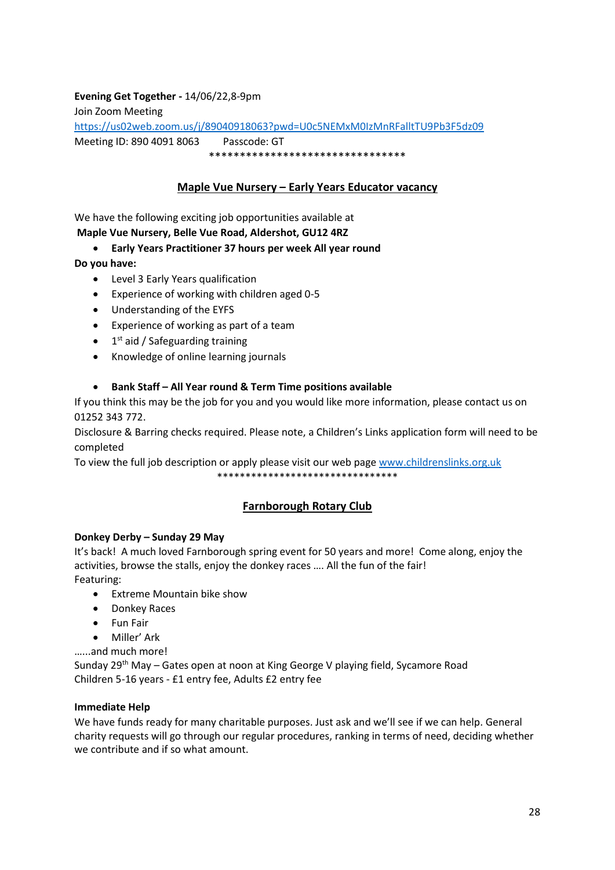# **Evening Get Together -** 14/06/22,8-9pm Join Zoom Meeting <https://us02web.zoom.us/j/89040918063?pwd=U0c5NEMxM0IzMnRFalltTU9Pb3F5dz09> Meeting ID: 890 4091 8063 Passcode: GT \*\*\*\*\*\*\*\*\*\*\*\*\*\*\*\*\*\*\*\*\*\*\*\*\*\*\*\*\*\*\*\*

# **Maple Vue Nursery – Early Years Educator vacancy**

We have the following exciting job opportunities available at

# **Maple Vue Nursery, Belle Vue Road, Aldershot, GU12 4RZ**

# • **Early Years Practitioner 37 hours per week All year round**

**Do you have:** 

- Level 3 Early Years qualification
- Experience of working with children aged 0-5
- Understanding of the EYFS
- Experience of working as part of a team
- 1<sup>st</sup> aid / Safeguarding training
- Knowledge of online learning journals

# • **Bank Staff – All Year round & Term Time positions available**

If you think this may be the job for you and you would like more information, please contact us on 01252 343 772.

Disclosure & Barring checks required. Please note, a Children's Links application form will need to be completed

To view the full job description or apply please visit our web page [www.childrenslinks.org.uk](http://www.childrenslinks.org.uk/)

\*\*\*\*\*\*\*\*\*\*\*\*\*\*\*\*\*\*\*\*\*\*\*\*\*\*\*\*\*\*\*\*

# **Farnborough Rotary Club**

# **Donkey Derby – Sunday 29 May**

It's back! A much loved Farnborough spring event for 50 years and more! Come along, enjoy the activities, browse the stalls, enjoy the donkey races …. All the fun of the fair! Featuring:

- Extreme Mountain bike show
- Donkey Races
- Fun Fair
- Miller' Ark

…...and much more!

Sunday 29<sup>th</sup> May - Gates open at noon at King George V playing field, Sycamore Road Children 5-16 years - £1 entry fee, Adults £2 entry fee

# **Immediate Help**

We have funds ready for many charitable purposes. Just ask and we'll see if we can help. General charity requests will go through our regular procedures, ranking in terms of need, deciding whether we contribute and if so what amount.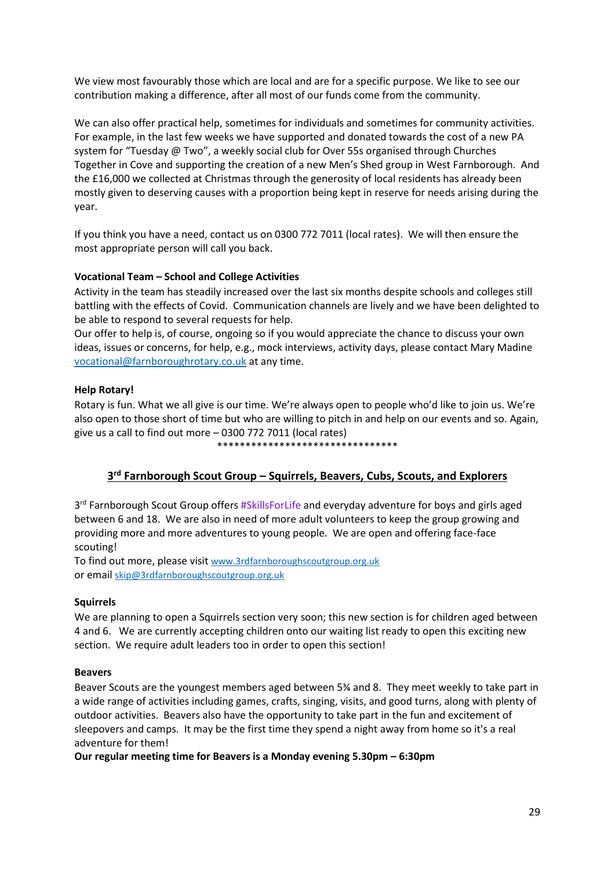We view most favourably those which are local and are for a specific purpose. We like to see our contribution making a difference, after all most of our funds come from the community.

We can also offer practical help, sometimes for individuals and sometimes for community activities. For example, in the last few weeks we have supported and donated towards the cost of a new PA system for "Tuesday @ Two", a weekly social club for Over 55s organised through Churches Together in Cove and supporting the creation of a new Men's Shed group in West Farnborough. And the £16,000 we collected at Christmas through the generosity of local residents has already been mostly given to deserving causes with a proportion being kept in reserve for needs arising during the year.

If you think you have a need, contact us on 0300 772 7011 (local rates). We will then ensure the most appropriate person will call you back.

#### **Vocational Team – School and College Activities**

Activity in the team has steadily increased over the last six months despite schools and colleges still battling with the effects of Covid. Communication channels are lively and we have been delighted to be able to respond to several requests for help.

Our offer to help is, of course, ongoing so if you would appreciate the chance to discuss your own ideas, issues or concerns, for help, e.g., mock interviews, activity days, please contact Mary Madine [vocational@farnboroughrotary.co.uk](mailto:vocational@farnboroughrotary.co.uk) at any time.

#### **Help Rotary!**

Rotary is fun. What we all give is our time. We're always open to people who'd like to join us. We're also open to those short of time but who are willing to pitch in and help on our events and so. Again, give us a call to find out more – 0300 772 7011 (local rates)

#### \*\*\*\*\*\*\*\*\*\*\*\*\*\*\*\*\*\*\*\*

# **3 rd Farnborough Scout Group – Squirrels, Beavers, Cubs, Scouts, and Explorers**

3<sup>rd</sup> Farnborough Scout Group offers #SkillsForLife and everyday adventure for boys and girls aged between 6 and 18. We are also in need of more adult volunteers to keep the group growing and providing more and more adventures to young people. We are open and offering face-face scouting!

To find out more, please visit [www.3rdfarnboroughscoutgroup.org.uk](http://www.3rdfarnboroughscoutgroup.org.uk/) or email [skip@3rdfarnboroughscoutgroup.org.uk](mailto:skip@3rdfarnboroughscoutgroup.org.uk)

#### **Squirrels**

We are planning to open a Squirrels section very soon; this new section is for children aged between 4 and 6. We are currently accepting children onto our waiting list ready to open this exciting new section. We require adult leaders too in order to open this section!

#### **Beavers**

Beaver Scouts are the youngest members aged between 5¾ and 8. They meet weekly to take part in a wide range of activities including games, crafts, singing, visits, and good turns, along with plenty of outdoor activities. Beavers also have the opportunity to take part in the fun and excitement of sleepovers and camps. It may be the first time they spend a night away from home so it's a real adventure for them!

**Our regular meeting time for Beavers is a Monday evening 5.30pm – 6:30pm**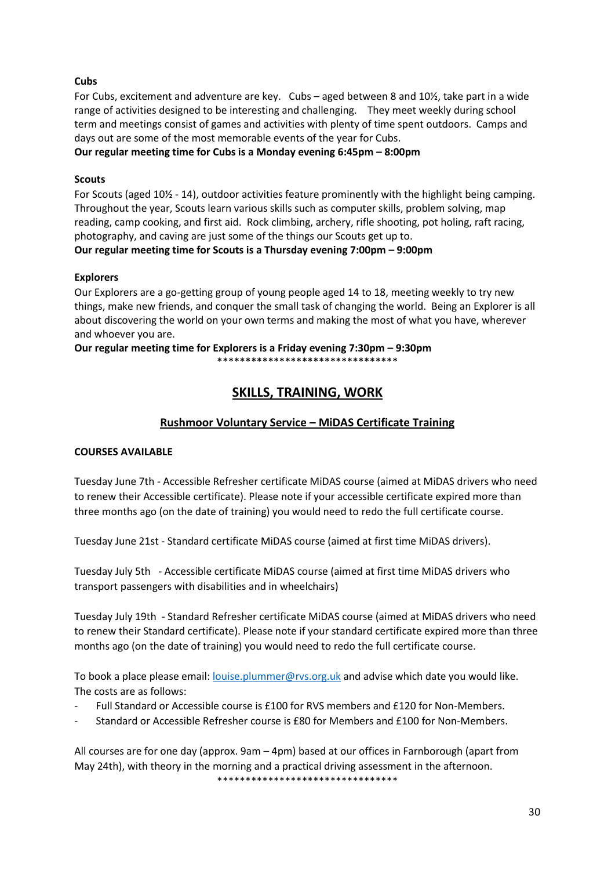# **Cubs**

For Cubs, excitement and adventure are key. Cubs – aged between 8 and 10½, take part in a wide range of activities designed to be interesting and challenging. They meet weekly during school term and meetings consist of games and activities with plenty of time spent outdoors. Camps and days out are some of the most memorable events of the year for Cubs.

**Our regular meeting time for Cubs is a Monday evening 6:45pm – 8:00pm**

# **Scouts**

For Scouts (aged 10½ - 14), outdoor activities feature prominently with the highlight being camping. Throughout the year, Scouts learn various skills such as computer skills, problem solving, map reading, camp cooking, and first aid. Rock climbing, archery, rifle shooting, pot holing, raft racing, photography, and caving are just some of the things our Scouts get up to.

**Our regular meeting time for Scouts is a Thursday evening 7:00pm – 9:00pm**

#### **Explorers**

Our Explorers are a go-getting group of young people aged 14 to 18, meeting weekly to try new things, make new friends, and conquer the small task of changing the world. Being an Explorer is all about discovering the world on your own terms and making the most of what you have, wherever and whoever you are.

**Our regular meeting time for Explorers is a Friday evening 7:30pm – 9:30pm** \*\*\*\*\*\*\*\*\*\*\*\*\*\*\*\*\*\*\*\*\*\*\*\*\*\*\*\*\*\*\*\*

# **SKILLS, TRAINING, WORK**

# **Rushmoor Voluntary Service – MiDAS Certificate Training**

# **COURSES AVAILABLE**

Tuesday June 7th - Accessible Refresher certificate MiDAS course (aimed at MiDAS drivers who need to renew their Accessible certificate). Please note if your accessible certificate expired more than three months ago (on the date of training) you would need to redo the full certificate course.

Tuesday June 21st - Standard certificate MiDAS course (aimed at first time MiDAS drivers).

Tuesday July 5th - Accessible certificate MiDAS course (aimed at first time MiDAS drivers who transport passengers with disabilities and in wheelchairs)

Tuesday July 19th - Standard Refresher certificate MiDAS course (aimed at MiDAS drivers who need to renew their Standard certificate). Please note if your standard certificate expired more than three months ago (on the date of training) you would need to redo the full certificate course.

To book a place please email: [louise.plummer@rvs.org.uk](mailto:louise.plummer@rvs.org.uk) and advise which date you would like. The costs are as follows:

- Full Standard or Accessible course is £100 for RVS members and £120 for Non-Members.
- Standard or Accessible Refresher course is £80 for Members and £100 for Non-Members.

All courses are for one day (approx. 9am – 4pm) based at our offices in Farnborough (apart from May 24th), with theory in the morning and a practical driving assessment in the afternoon. \*\*\*\*\*\*\*\*\*\*\*\*\*\*\*\*\*\*\*\*\*\*\*\*\*\*\*\*\*\*\*\*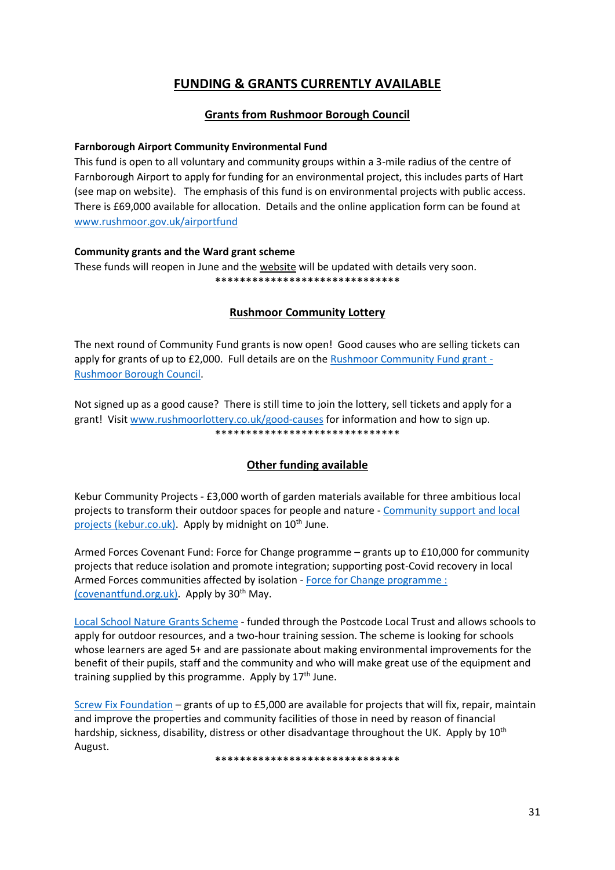# **FUNDING & GRANTS CURRENTLY AVAILABLE**

# **Grants from Rushmoor Borough Council**

#### **Farnborough Airport Community Environmental Fund**

This fund is open to all voluntary and community groups within a 3-mile radius of the centre of Farnborough Airport to apply for funding for an environmental project, this includes parts of Hart (see map on website). The emphasis of this fund is on environmental projects with public access. There is £69,000 available for allocation. Details and the online application form can be found at [www.rushmoor.gov.uk/airportfund](http://www.rushmoor.gov.uk/airportfund) 

#### **Community grants and the Ward grant scheme**

These funds will reopen in June and th[e website](https://www.rushmoor.gov.uk/community-parks-and-leisure/community-youth-and-sports-grants/ward-grant-scheme/) will be updated with details very soon. \*\*\*\*\*\*\*\*\*\*\*\*\*\*\*\*\*\*\*\*\*\*\*\*\*\*\*\*\*\*

# **Rushmoor Community Lottery**

The next round of Community Fund grants is now open! Good causes who are selling tickets can apply for grants of up to £2,000. Full details are on the [Rushmoor Community Fund grant -](https://www.rushmoor.gov.uk/community-parks-and-leisure/rushmoor-community-lottery/rushmoor-community-fund-grant/) [Rushmoor Borough Council.](https://www.rushmoor.gov.uk/community-parks-and-leisure/rushmoor-community-lottery/rushmoor-community-fund-grant/)

Not signed up as a good cause? There is still time to join the lottery, sell tickets and apply for a grant! Visit [www.rushmoorlottery.co.uk/good-causes](http://www.rushmoorlottery.co.uk/good-causes) for information and how to sign up. \*\*\*\*\*\*\*\*\*\*\*\*\*\*\*\*\*\*\*\*\*\*\*\*\*\*\*\*\*\*

# **Other funding available**

Kebur Community Projects - £3,000 worth of garden materials available for three ambitious local projects to transform their outdoor spaces for people and nature - [Community support and local](https://www.kebur.co.uk/community/)  [projects \(kebur.co.uk\).](https://www.kebur.co.uk/community/) Apply by midnight on 10<sup>th</sup> June.

Armed Forces Covenant Fund: Force for Change programme – grants up to £10,000 for community projects that reduce isolation and promote integration; supporting post-Covid recovery in local Armed Forces communities affected by isolation - Force for Change programme : [\(covenantfund.org.uk\).](https://covenantfund.org.uk/programme/force-for-change/) Apply by  $30<sup>th</sup>$  May.

[Local School Nature Grants Scheme](https://naturegrants.ltl.org.uk/) - funded through the Postcode Local Trust and allows schools to apply for outdoor resources, and a two-hour training session. The scheme is looking for schools whose learners are aged 5+ and are passionate about making environmental improvements for the benefit of their pupils, staff and the community and who will make great use of the equipment and training supplied by this programme. Apply by  $17<sup>th</sup>$  June.

[Screw Fix Foundation](https://www.screwfix.com/help/screwfixfoundation/) – grants of up to £5,000 are available for projects that will fix, repair, maintain and improve the properties and community facilities of those in need by reason of financial hardship, sickness, disability, distress or other disadvantage throughout the UK. Apply by 10<sup>th</sup> August.

\*\*\*\*\*\*\*\*\*\*\*\*\*\*\*\*\*\*\*\*\*\*\*\*\*\*\*\*\*\*